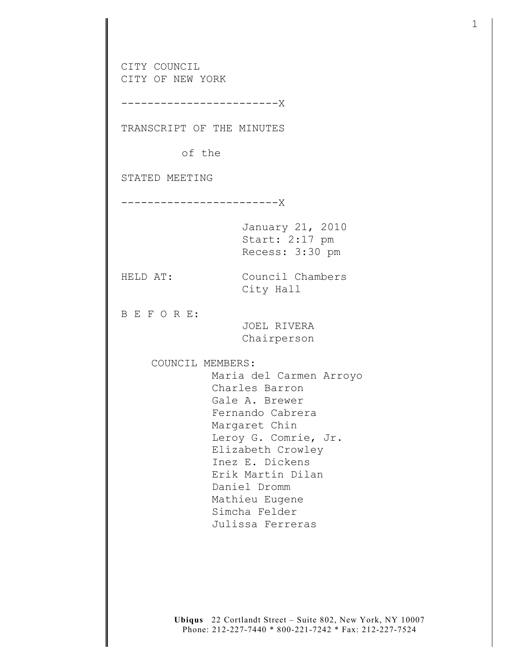CITY COUNCIL CITY OF NEW YORK ------------------------X TRANSCRIPT OF THE MINUTES of the STATED MEETING ------------------------X January 21, 2010 Start: 2:17 pm Recess: 3:30 pm HELD AT: Council Chambers City Hall B E F O R E: JOEL RIVERA Chairperson COUNCIL MEMBERS: Maria del Carmen Arroyo Charles Barron Gale A. Brewer Fernando Cabrera Margaret Chin Leroy G. Comrie, Jr. Elizabeth Crowley Inez E. Dickens Erik Martin Dilan Daniel Dromm Mathieu Eugene Simcha Felder Julissa Ferreras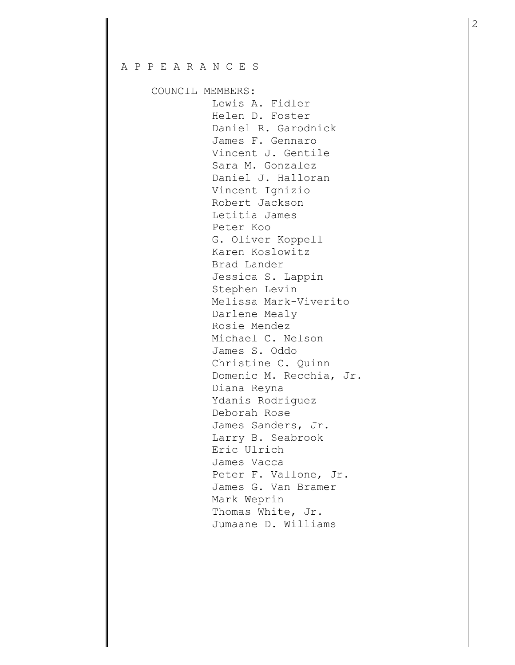## A P P E A R A N C E S

COUNCIL MEMBERS:

 Lewis A. Fidler Helen D. Foster Daniel R. Garodnick James F. Gennaro Vincent J. Gentile Sara M. Gonzalez Daniel J. Halloran Vincent Ignizio Robert Jackson Letitia James Peter Koo G. Oliver Koppell Karen Koslowitz Brad Lander Jessica S. Lappin Stephen Levin Melissa Mark-Viverito Darlene Mealy Rosie Mendez Michael C. Nelson James S. Oddo Christine C. Quinn Domenic M. Recchia, Jr. Diana Reyna Ydanis Rodriguez Deborah Rose James Sanders, Jr. Larry B. Seabrook Eric Ulrich James Vacca Peter F. Vallone, Jr. James G. Van Bramer Mark Weprin Thomas White, Jr. Jumaane D. Williams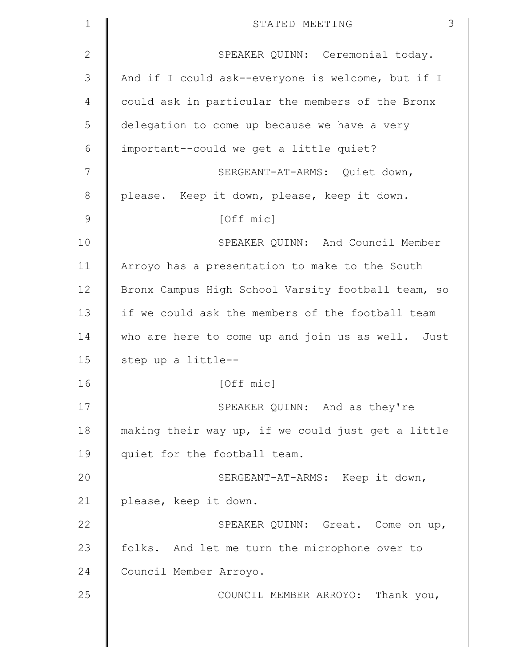| $\mathbf{1}$  | 3<br>STATED MEETING                                |
|---------------|----------------------------------------------------|
| $\mathbf{2}$  | SPEAKER QUINN: Ceremonial today.                   |
| 3             | And if I could ask--everyone is welcome, but if I  |
| 4             | could ask in particular the members of the Bronx   |
| 5             | delegation to come up because we have a very       |
| 6             | important--could we get a little quiet?            |
| 7             | SERGEANT-AT-ARMS: Quiet down,                      |
| $8\,$         | please. Keep it down, please, keep it down.        |
| $\mathcal{G}$ | [Off mic]                                          |
| 10            | SPEAKER QUINN: And Council Member                  |
| 11            | Arroyo has a presentation to make to the South     |
| 12            | Bronx Campus High School Varsity football team, so |
| 13            | if we could ask the members of the football team   |
| 14            | who are here to come up and join us as well. Just  |
| 15            | step up a little--                                 |
| 16            | [Off mic]                                          |
| 17            | SPEAKER QUINN: And as they're                      |
| 18            | making their way up, if we could just get a little |
| 19            | quiet for the football team.                       |
| 20            | SERGEANT-AT-ARMS: Keep it down,                    |
| 21            | please, keep it down.                              |
| 22            | SPEAKER QUINN: Great. Come on up,                  |
| 23            | folks. And let me turn the microphone over to      |
| 24            | Council Member Arroyo.                             |
| 25            | COUNCIL MEMBER ARROYO: Thank you,                  |
|               |                                                    |
|               |                                                    |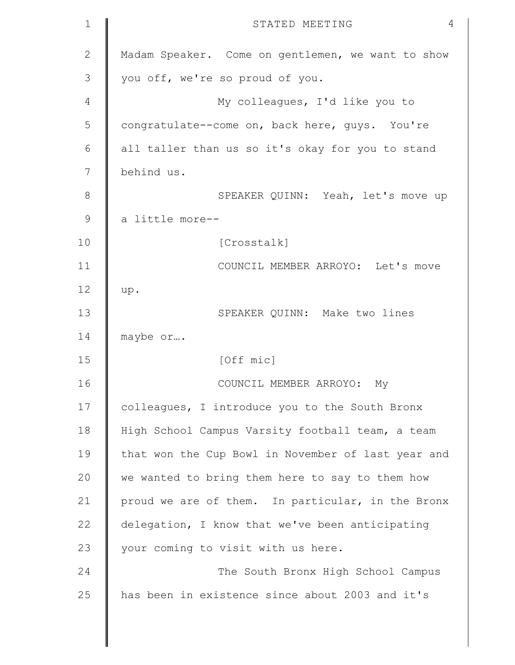| $\mathbf 1$   | 4<br>STATED MEETING                                |
|---------------|----------------------------------------------------|
| $\mathbf{2}$  | Madam Speaker. Come on gentlemen, we want to show  |
| 3             | you off, we're so proud of you.                    |
| 4             | My colleagues, I'd like you to                     |
| 5             | congratulate--come on, back here, guys. You're     |
| 6             | all taller than us so it's okay for you to stand   |
| 7             | behind us.                                         |
| $\,8\,$       | SPEAKER QUINN: Yeah, let's move up                 |
| $\mathcal{G}$ | a little more--                                    |
| 10            | [Crosstalk]                                        |
| 11            | COUNCIL MEMBER ARROYO: Let's move                  |
| 12            | up.                                                |
| 13            | SPEAKER QUINN: Make two lines                      |
| 14            | maybe or                                           |
| 15            | [Off mic]                                          |
| 16            | COUNCIL MEMBER ARROYO: My                          |
| 17            | colleagues, I introduce you to the South Bronx     |
| 18            | High School Campus Varsity football team, a team   |
| 19            | that won the Cup Bowl in November of last year and |
| 20            | we wanted to bring them here to say to them how    |
| 21            | proud we are of them. In particular, in the Bronx  |
| 22            | delegation, I know that we've been anticipating    |
| 23            | your coming to visit with us here.                 |
| 24            | The South Bronx High School Campus                 |
| 25            | has been in existence since about 2003 and it's    |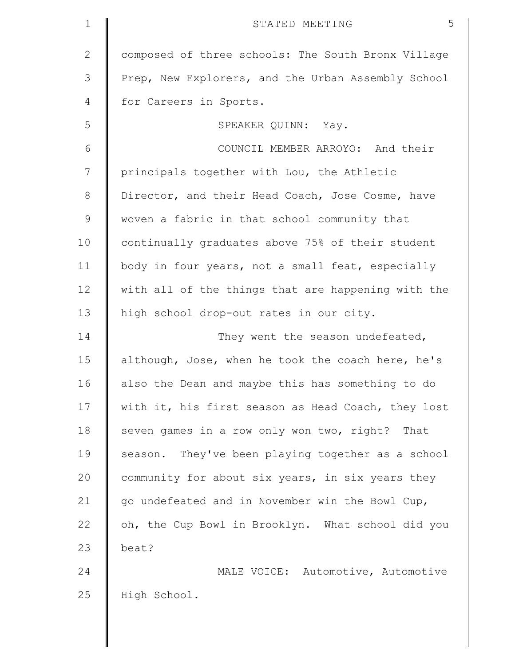| $\mathbf 1$  | 5<br>STATED MEETING                                |
|--------------|----------------------------------------------------|
| $\mathbf{2}$ | composed of three schools: The South Bronx Village |
| 3            | Prep, New Explorers, and the Urban Assembly School |
| 4            | for Careers in Sports.                             |
| 5            | SPEAKER QUINN: Yay.                                |
| 6            | COUNCIL MEMBER ARROYO: And their                   |
| 7            | principals together with Lou, the Athletic         |
| $8\,$        | Director, and their Head Coach, Jose Cosme, have   |
| $\mathsf 9$  | woven a fabric in that school community that       |
| 10           | continually graduates above 75% of their student   |
| 11           | body in four years, not a small feat, especially   |
| 12           | with all of the things that are happening with the |
| 13           | high school drop-out rates in our city.            |
| 14           | They went the season undefeated,                   |
| 15           | although, Jose, when he took the coach here, he's  |
| 16           | also the Dean and maybe this has something to do   |
| 17           | with it, his first season as Head Coach, they lost |
| 18           | seven games in a row only won two, right? That     |
| 19           | season. They've been playing together as a school  |
| 20           | community for about six years, in six years they   |
| 21           | go undefeated and in November win the Bowl Cup,    |
| 22           | oh, the Cup Bowl in Brooklyn. What school did you  |
| 23           | beat?                                              |
| 24           | MALE VOICE: Automotive, Automotive                 |
| 25           | High School.                                       |
|              |                                                    |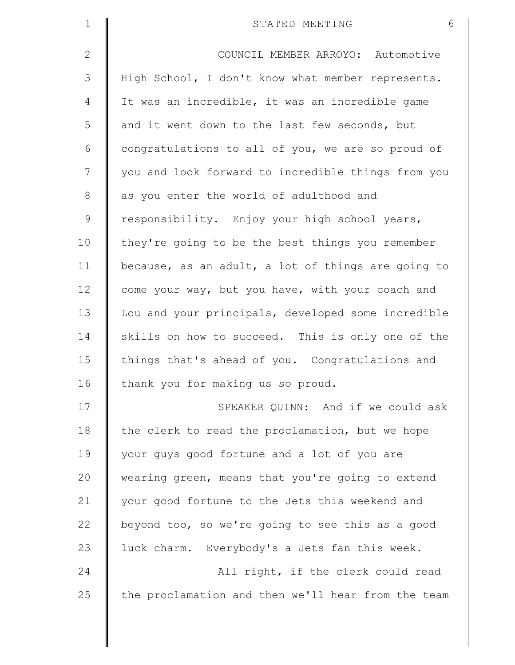| $\mathbf 1$  | 6<br>STATED MEETING                                |
|--------------|----------------------------------------------------|
| $\mathbf{2}$ | COUNCIL MEMBER ARROYO: Automotive                  |
| 3            | High School, I don't know what member represents.  |
| 4            | It was an incredible, it was an incredible game    |
| 5            | and it went down to the last few seconds, but      |
| 6            | congratulations to all of you, we are so proud of  |
| 7            | you and look forward to incredible things from you |
| $\,8\,$      | as you enter the world of adulthood and            |
| $\mathsf 9$  | responsibility. Enjoy your high school years,      |
| 10           | they're going to be the best things you remember   |
| 11           | because, as an adult, a lot of things are going to |
| 12           | come your way, but you have, with your coach and   |
| 13           | Lou and your principals, developed some incredible |
| 14           | skills on how to succeed. This is only one of the  |
| 15           | things that's ahead of you. Congratulations and    |
| 16           | thank you for making us so proud.                  |
| 17           | SPEAKER QUINN: And if we could ask                 |
| 18           | the clerk to read the proclamation, but we hope    |
| 19           | your guys good fortune and a lot of you are        |
| 20           | wearing green, means that you're going to extend   |
| 21           | your good fortune to the Jets this weekend and     |
| 22           | beyond too, so we're going to see this as a good   |
| 23           | luck charm. Everybody's a Jets fan this week.      |
| 24           | All right, if the clerk could read                 |
| 25           | the proclamation and then we'll hear from the team |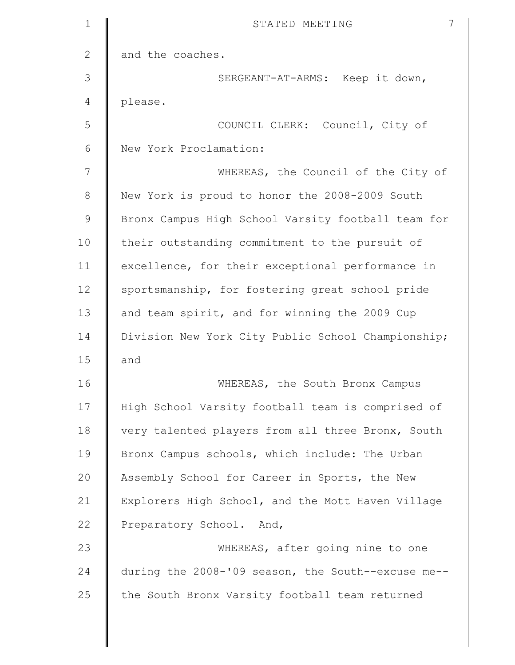| $\mathbf 1$  | 7<br>STATED MEETING                                |
|--------------|----------------------------------------------------|
| $\mathbf{2}$ | and the coaches.                                   |
| 3            | SERGEANT-AT-ARMS: Keep it down,                    |
| 4            | please.                                            |
| 5            | COUNCIL CLERK: Council, City of                    |
| 6            | New York Proclamation:                             |
| 7            | WHEREAS, the Council of the City of                |
| $8\,$        | New York is proud to honor the 2008-2009 South     |
| $\mathsf 9$  | Bronx Campus High School Varsity football team for |
| 10           | their outstanding commitment to the pursuit of     |
| 11           | excellence, for their exceptional performance in   |
| 12           | sportsmanship, for fostering great school pride    |
| 13           | and team spirit, and for winning the 2009 Cup      |
| 14           | Division New York City Public School Championship; |
| 15           | and                                                |
| 16           | WHEREAS, the South Bronx Campus                    |
| 17           | High School Varsity football team is comprised of  |
| 18           | very talented players from all three Bronx, South  |
| 19           | Bronx Campus schools, which include: The Urban     |
| 20           | Assembly School for Career in Sports, the New      |
| 21           | Explorers High School, and the Mott Haven Village  |
| 22           | Preparatory School. And,                           |
| 23           | WHEREAS, after going nine to one                   |
| 24           | during the 2008-'09 season, the South--excuse me-- |
| 25           | the South Bronx Varsity football team returned     |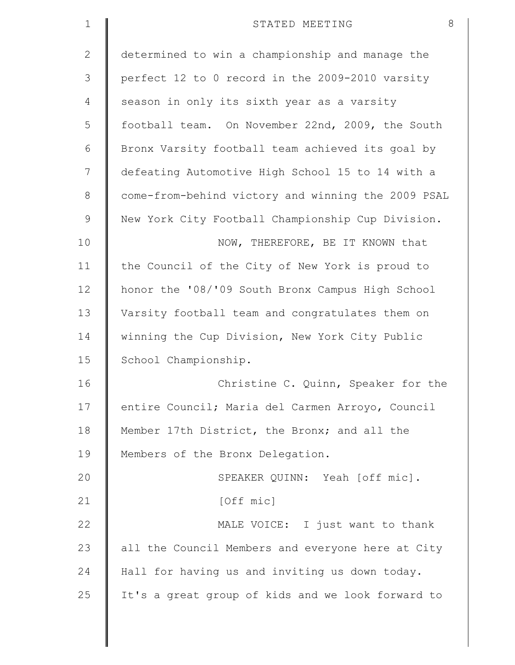| $\mathbf 1$  | 8<br>STATED MEETING                                |
|--------------|----------------------------------------------------|
| $\mathbf{2}$ | determined to win a championship and manage the    |
| 3            | perfect 12 to 0 record in the 2009-2010 varsity    |
| 4            | season in only its sixth year as a varsity         |
| 5            | football team. On November 22nd, 2009, the South   |
| 6            | Bronx Varsity football team achieved its goal by   |
| 7            | defeating Automotive High School 15 to 14 with a   |
| 8            | come-from-behind victory and winning the 2009 PSAL |
| $\mathsf 9$  | New York City Football Championship Cup Division.  |
| 10           | NOW, THEREFORE, BE IT KNOWN that                   |
| 11           | the Council of the City of New York is proud to    |
| 12           | honor the '08/'09 South Bronx Campus High School   |
| 13           | Varsity football team and congratulates them on    |
| 14           | winning the Cup Division, New York City Public     |
| 15           | School Championship.                               |
| 16           | Christine C. Quinn, Speaker for the                |
| 17           | entire Council; Maria del Carmen Arroyo, Council   |
| 18           | Member 17th District, the Bronx; and all the       |
| 19           | Members of the Bronx Delegation.                   |
| 20           | SPEAKER QUINN: Yeah [off mic].                     |
| 21           | [Off mic]                                          |
| 22           | MALE VOICE: I just want to thank                   |
| 23           | all the Council Members and everyone here at City  |
| 24           | Hall for having us and inviting us down today.     |
| 25           | It's a great group of kids and we look forward to  |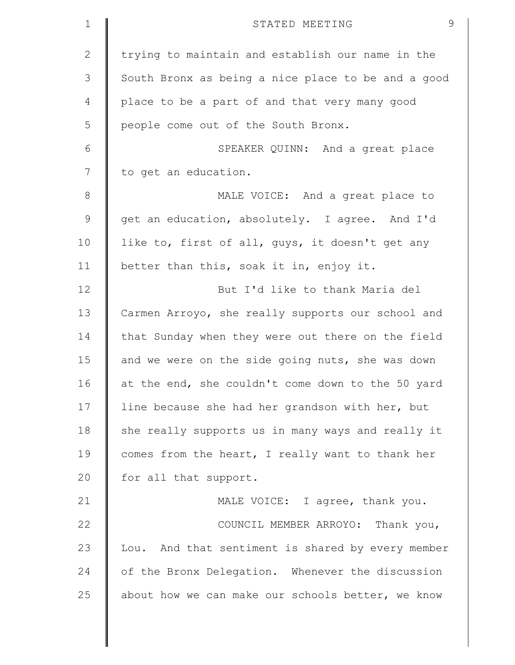| $\mathbf 1$  | 9<br>STATED MEETING                                |
|--------------|----------------------------------------------------|
| $\mathbf{2}$ | trying to maintain and establish our name in the   |
| 3            | South Bronx as being a nice place to be and a good |
| 4            | place to be a part of and that very many good      |
| 5            | people come out of the South Bronx.                |
| 6            | SPEAKER QUINN: And a great place                   |
| 7            | to get an education.                               |
| $8\,$        | MALE VOICE: And a great place to                   |
| $\mathsf 9$  | get an education, absolutely. I agree. And I'd     |
| 10           | like to, first of all, guys, it doesn't get any    |
| 11           | better than this, soak it in, enjoy it.            |
| 12           | But I'd like to thank Maria del                    |
| 13           | Carmen Arroyo, she really supports our school and  |
| 14           | that Sunday when they were out there on the field  |
| 15           | and we were on the side going nuts, she was down   |
| 16           | at the end, she couldn't come down to the 50 yard  |
| 17           | line because she had her grandson with her, but    |
| 18           | she really supports us in many ways and really it  |
| 19           | comes from the heart, I really want to thank her   |
| 20           | for all that support.                              |
| 21           | MALE VOICE: I agree, thank you.                    |
| 22           | COUNCIL MEMBER ARROYO: Thank you,                  |
| 23           | Lou. And that sentiment is shared by every member  |
| 24           | of the Bronx Delegation. Whenever the discussion   |
| 25           | about how we can make our schools better, we know  |
|              |                                                    |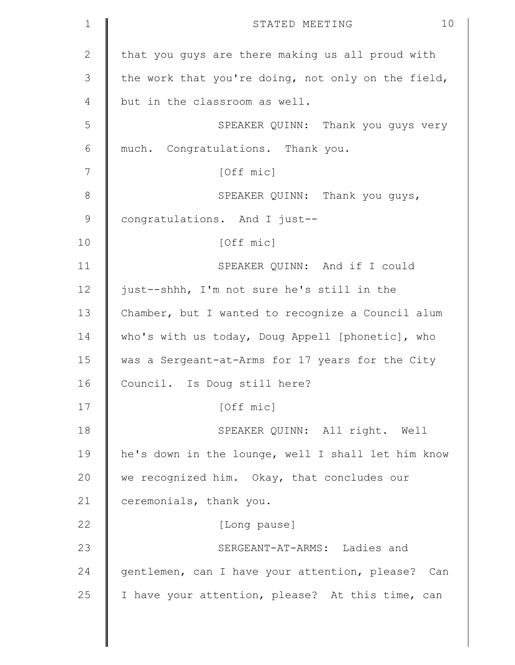| $\mathbf 1$  | 10<br>STATED MEETING                               |
|--------------|----------------------------------------------------|
| $\mathbf{2}$ | that you guys are there making us all proud with   |
| 3            | the work that you're doing, not only on the field, |
| 4            | but in the classroom as well.                      |
| 5            | SPEAKER QUINN: Thank you guys very                 |
| 6            | much. Congratulations. Thank you.                  |
| 7            | [Off mic]                                          |
| $8\,$        | SPEAKER QUINN: Thank you guys,                     |
| $\mathsf 9$  | congratulations. And I just--                      |
| 10           | [Off mic]                                          |
| 11           | SPEAKER QUINN: And if I could                      |
| 12           | just--shhh, I'm not sure he's still in the         |
| 13           | Chamber, but I wanted to recognize a Council alum  |
| 14           | who's with us today, Doug Appell [phonetic], who   |
| 15           | was a Sergeant-at-Arms for 17 years for the City   |
| 16           | Council. Is Doug still here?                       |
| 17           | [Off mic]                                          |
| 18           | SPEAKER QUINN: All right. Well                     |
| 19           | he's down in the lounge, well I shall let him know |
| 20           | we recognized him. Okay, that concludes our        |
| 21           | ceremonials, thank you.                            |
| 22           | [Long pause]                                       |
| 23           | SERGEANT-AT-ARMS: Ladies and                       |
| 24           | gentlemen, can I have your attention, please? Can  |
| 25           | I have your attention, please? At this time, can   |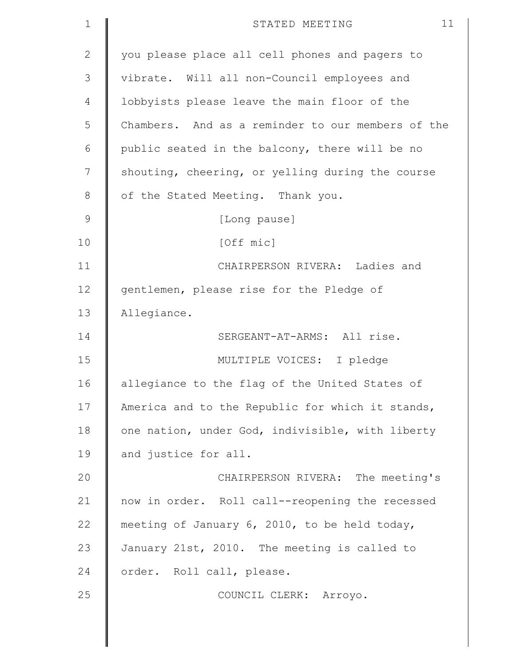| $\mathbf 1$  | 11<br>STATED MEETING                              |
|--------------|---------------------------------------------------|
| $\mathbf{2}$ | you please place all cell phones and pagers to    |
| 3            | vibrate. Will all non-Council employees and       |
| 4            | lobbyists please leave the main floor of the      |
| 5            | Chambers. And as a reminder to our members of the |
| 6            | public seated in the balcony, there will be no    |
| 7            | shouting, cheering, or yelling during the course  |
| 8            | of the Stated Meeting. Thank you.                 |
| $\mathsf 9$  | [Long pause]                                      |
| 10           | [Off mic]                                         |
| 11           | CHAIRPERSON RIVERA: Ladies and                    |
| 12           | gentlemen, please rise for the Pledge of          |
| 13           | Allegiance.                                       |
| 14           | SERGEANT-AT-ARMS: All rise.                       |
| 15           | MULTIPLE VOICES: I pledge                         |
| 16           | allegiance to the flag of the United States of    |
| 17           | America and to the Republic for which it stands,  |
| 18           | one nation, under God, indivisible, with liberty  |
| 19           | and justice for all.                              |
| 20           | CHAIRPERSON RIVERA: The meeting's                 |
| 21           | now in order. Roll call--reopening the recessed   |
| 22           | meeting of January 6, 2010, to be held today,     |
| 23           | January 21st, 2010. The meeting is called to      |
| 24           | order. Roll call, please.                         |
| 25           | COUNCIL CLERK: Arroyo.                            |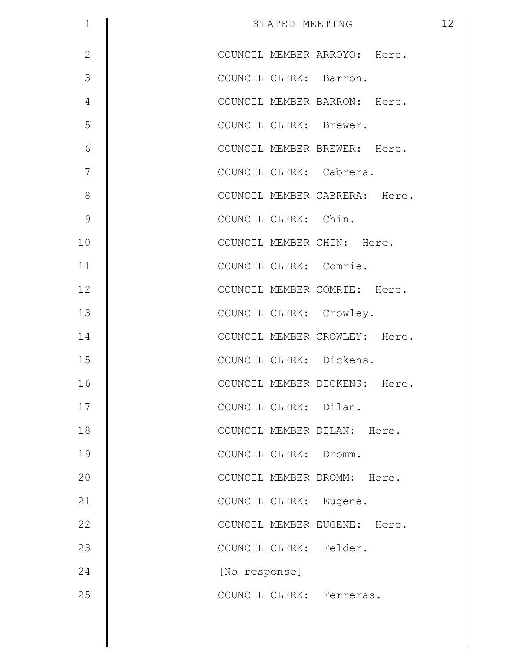| $\mathbf 1$   | STATED MEETING                | 12 |
|---------------|-------------------------------|----|
| $\mathbf{2}$  | COUNCIL MEMBER ARROYO: Here.  |    |
| 3             | COUNCIL CLERK: Barron.        |    |
| 4             | COUNCIL MEMBER BARRON: Here.  |    |
| 5             | COUNCIL CLERK: Brewer.        |    |
| 6             | COUNCIL MEMBER BREWER: Here.  |    |
| 7             | COUNCIL CLERK: Cabrera.       |    |
| $\,8\,$       | COUNCIL MEMBER CABRERA: Here. |    |
| $\mathcal{G}$ | COUNCIL CLERK: Chin.          |    |
| 10            | COUNCIL MEMBER CHIN: Here.    |    |
| 11            | COUNCIL CLERK: Comrie.        |    |
| 12            | COUNCIL MEMBER COMRIE: Here.  |    |
| 13            | COUNCIL CLERK: Crowley.       |    |
| 14            | COUNCIL MEMBER CROWLEY: Here. |    |
| 15            | COUNCIL CLERK: Dickens.       |    |
| 16            | COUNCIL MEMBER DICKENS: Here. |    |
| 17            | COUNCIL CLERK: Dilan.         |    |
| 18            | COUNCIL MEMBER DILAN: Here.   |    |
| 19            | COUNCIL CLERK: Dromm.         |    |
| 20            | COUNCIL MEMBER DROMM: Here.   |    |
| 21            | COUNCIL CLERK: Eugene.        |    |
| 22            | COUNCIL MEMBER EUGENE: Here.  |    |
| 23            | COUNCIL CLERK: Felder.        |    |
| 24            | [No response]                 |    |
| 25            | COUNCIL CLERK: Ferreras.      |    |
|               |                               |    |

║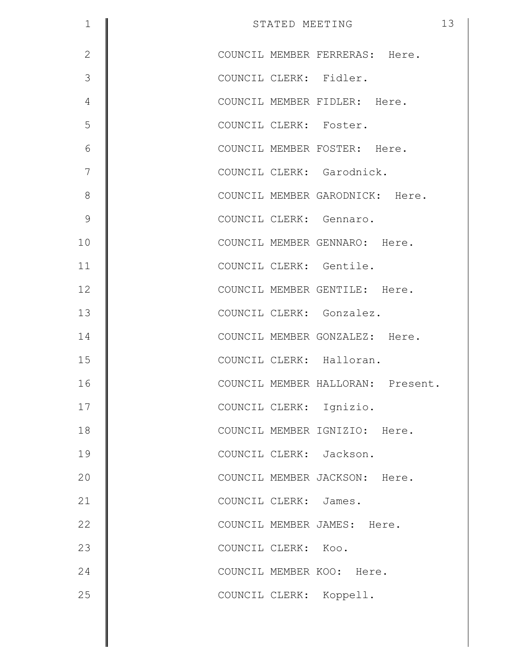| $\mathbf 1$    | 13<br>STATED MEETING              |
|----------------|-----------------------------------|
| $\overline{2}$ | COUNCIL MEMBER FERRERAS: Here.    |
| 3              | COUNCIL CLERK: Fidler.            |
| $\overline{4}$ | COUNCIL MEMBER FIDLER: Here.      |
| 5              | COUNCIL CLERK: Foster.            |
| 6              | COUNCIL MEMBER FOSTER: Here.      |
| 7              | COUNCIL CLERK: Garodnick.         |
| $8\,$          | COUNCIL MEMBER GARODNICK: Here.   |
| $\mathcal{G}$  | COUNCIL CLERK: Gennaro.           |
| 10             | COUNCIL MEMBER GENNARO: Here.     |
| 11             | COUNCIL CLERK: Gentile.           |
| 12             | COUNCIL MEMBER GENTILE: Here.     |
| 13             | COUNCIL CLERK: Gonzalez.          |
| 14             | COUNCIL MEMBER GONZALEZ: Here.    |
| 15             | COUNCIL CLERK: Halloran.          |
| 16             | COUNCIL MEMBER HALLORAN: Present. |
| 17             | COUNCIL CLERK: Ignizio.           |
| 18             | COUNCIL MEMBER IGNIZIO: Here.     |
| 19             | COUNCIL CLERK: Jackson.           |
| 20             | COUNCIL MEMBER JACKSON: Here.     |
| 21             | COUNCIL CLERK: James.             |
| 22             | COUNCIL MEMBER JAMES: Here.       |
| 23             | COUNCIL CLERK: Koo.               |
| 24             | COUNCIL MEMBER KOO: Here.         |
| 25             | COUNCIL CLERK: Koppell.           |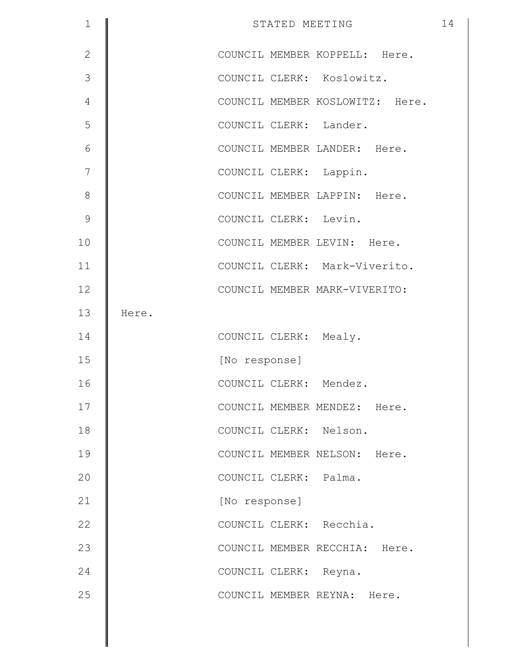| $\mathbf 1$    |       | STATED MEETING                  | 14 |
|----------------|-------|---------------------------------|----|
| $\overline{2}$ |       | COUNCIL MEMBER KOPPELL: Here.   |    |
| 3              |       | COUNCIL CLERK: Koslowitz.       |    |
| 4              |       | COUNCIL MEMBER KOSLOWITZ: Here. |    |
| 5              |       | COUNCIL CLERK: Lander.          |    |
| 6              |       | COUNCIL MEMBER LANDER: Here.    |    |
| 7              |       | COUNCIL CLERK: Lappin.          |    |
| $\,8\,$        |       | COUNCIL MEMBER LAPPIN: Here.    |    |
| $\mathcal{G}$  |       | COUNCIL CLERK: Levin.           |    |
| 10             |       | COUNCIL MEMBER LEVIN: Here.     |    |
| 11             |       | COUNCIL CLERK: Mark-Viverito.   |    |
| 12             |       | COUNCIL MEMBER MARK-VIVERITO:   |    |
| 13             | Here. |                                 |    |
| 14             |       | COUNCIL CLERK: Mealy.           |    |
| 15             |       | [No response]                   |    |
| 16             |       | COUNCIL CLERK: Mendez.          |    |
| 17             |       | COUNCIL MEMBER MENDEZ: Here.    |    |
| 18             |       | COUNCIL CLERK: Nelson.          |    |
| 19             |       | COUNCIL MEMBER NELSON: Here.    |    |
| 20             |       | COUNCIL CLERK: Palma.           |    |
| 21             |       | [No response]                   |    |
| 22             |       | COUNCIL CLERK: Recchia.         |    |
| 23             |       | COUNCIL MEMBER RECCHIA: Here.   |    |
| 24             |       | COUNCIL CLERK: Reyna.           |    |
| 25             |       | COUNCIL MEMBER REYNA: Here.     |    |
|                |       |                                 |    |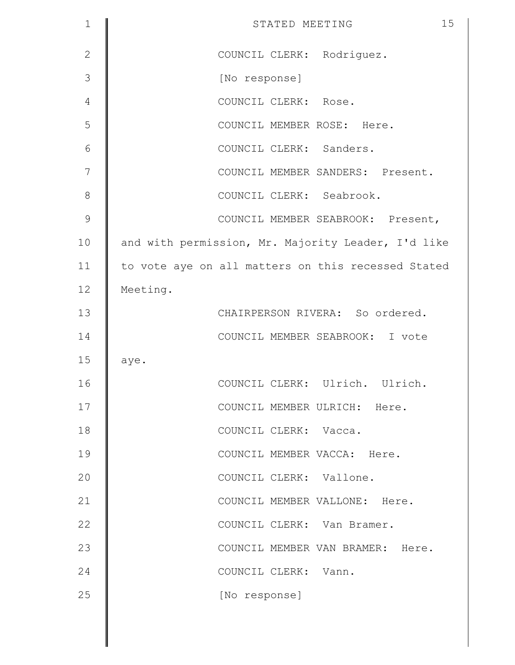| 1             | 15<br>STATED MEETING                               |
|---------------|----------------------------------------------------|
| $\mathbf{2}$  | COUNCIL CLERK: Rodriguez.                          |
| 3             | [No response]                                      |
| 4             | COUNCIL CLERK: Rose.                               |
| 5             | COUNCIL MEMBER ROSE: Here.                         |
| 6             | COUNCIL CLERK: Sanders.                            |
| 7             | COUNCIL MEMBER SANDERS: Present.                   |
| 8             | COUNCIL CLERK: Seabrook.                           |
| $\mathcal{G}$ | COUNCIL MEMBER SEABROOK: Present,                  |
| 10            | and with permission, Mr. Majority Leader, I'd like |
| 11            | to vote aye on all matters on this recessed Stated |
| 12            | Meeting.                                           |
| 13            | CHAIRPERSON RIVERA: So ordered.                    |
| 14            | COUNCIL MEMBER SEABROOK: I vote                    |
| 15            | aye.                                               |
| 16            | COUNCIL CLERK: Ulrich. Ulrich.                     |
| 17            | COUNCIL MEMBER ULRICH: Here.                       |
| 18            | COUNCIL CLERK: Vacca.                              |
| 19            | COUNCIL MEMBER VACCA: Here.                        |
| 20            | COUNCIL CLERK: Vallone.                            |
| 21            | COUNCIL MEMBER VALLONE: Here.                      |
| 22            | COUNCIL CLERK: Van Bramer.                         |
| 23            | COUNCIL MEMBER VAN BRAMER: Here.                   |
| 24            | COUNCIL CLERK: Vann.                               |
| 25            | [No response]                                      |
|               |                                                    |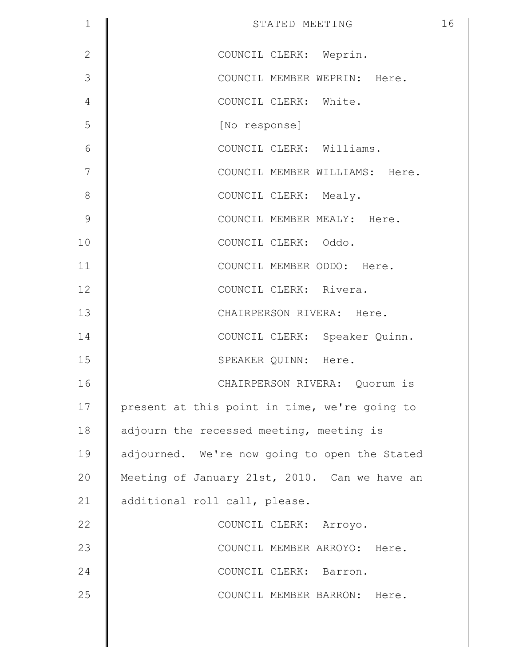| $\mathbf 1$  | STATED MEETING                                | 16 |
|--------------|-----------------------------------------------|----|
| $\mathbf{2}$ | COUNCIL CLERK: Weprin.                        |    |
| 3            | COUNCIL MEMBER WEPRIN: Here.                  |    |
| 4            | COUNCIL CLERK: White.                         |    |
| 5            | [No response]                                 |    |
| 6            | COUNCIL CLERK: Williams.                      |    |
| 7            | COUNCIL MEMBER WILLIAMS: Here.                |    |
| $\,8\,$      | COUNCIL CLERK: Mealy.                         |    |
| $\mathsf 9$  | COUNCIL MEMBER MEALY: Here.                   |    |
| 10           | COUNCIL CLERK: Oddo.                          |    |
| 11           | COUNCIL MEMBER ODDO: Here.                    |    |
| 12           | COUNCIL CLERK: Rivera.                        |    |
| 13           | CHAIRPERSON RIVERA: Here.                     |    |
| 14           | COUNCIL CLERK: Speaker Quinn.                 |    |
| 15           | SPEAKER QUINN: Here.                          |    |
| 16           | CHAIRPERSON RIVERA: Quorum is                 |    |
| 17           | present at this point in time, we're going to |    |
| 18           | adjourn the recessed meeting, meeting is      |    |
| 19           | adjourned. We're now going to open the Stated |    |
| 20           | Meeting of January 21st, 2010. Can we have an |    |
| 21           | additional roll call, please.                 |    |
| 22           | COUNCIL CLERK: Arroyo.                        |    |
| 23           | COUNCIL MEMBER ARROYO: Here.                  |    |
| 24           | COUNCIL CLERK: Barron.                        |    |
| 25           | COUNCIL MEMBER BARRON: Here.                  |    |
|              |                                               |    |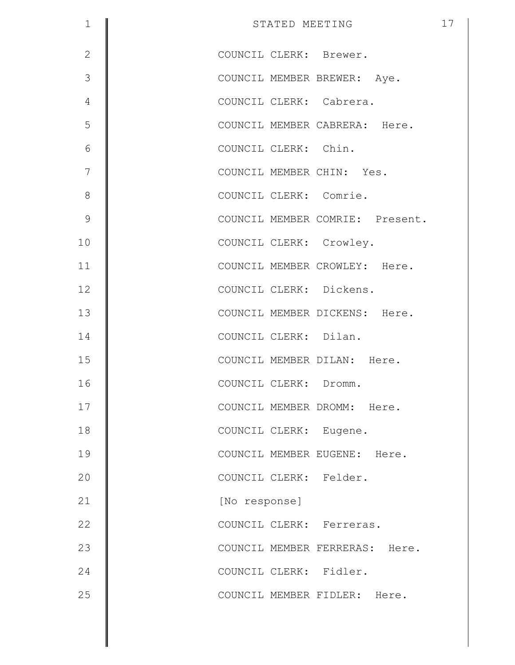| $\mathbf 1$    | STATED MEETING                  | 17 |
|----------------|---------------------------------|----|
| $\mathbf{2}$   | COUNCIL CLERK: Brewer.          |    |
| 3              | COUNCIL MEMBER BREWER: Aye.     |    |
| $\overline{4}$ | COUNCIL CLERK: Cabrera.         |    |
| 5              | COUNCIL MEMBER CABRERA: Here.   |    |
| $6\,$          | COUNCIL CLERK: Chin.            |    |
| 7              | COUNCIL MEMBER CHIN: Yes.       |    |
| $\,8\,$        | COUNCIL CLERK: Comrie.          |    |
| $\mathsf 9$    | COUNCIL MEMBER COMRIE: Present. |    |
| 10             | COUNCIL CLERK: Crowley.         |    |
| 11             | COUNCIL MEMBER CROWLEY: Here.   |    |
| 12             | COUNCIL CLERK: Dickens.         |    |
| 13             | COUNCIL MEMBER DICKENS: Here.   |    |
| 14             | COUNCIL CLERK: Dilan.           |    |
| 15             | COUNCIL MEMBER DILAN: Here.     |    |
| 16             | COUNCIL CLERK: Dromm.           |    |
| 17             | COUNCIL MEMBER DROMM: Here.     |    |
| 18             | COUNCIL CLERK: Eugene.          |    |
| 19             | COUNCIL MEMBER EUGENE: Here.    |    |
| 20             | COUNCIL CLERK: Felder.          |    |
| 21             | [No response]                   |    |
| 22             | COUNCIL CLERK: Ferreras.        |    |
| 23             | COUNCIL MEMBER FERRERAS: Here.  |    |
| 24             | COUNCIL CLERK: Fidler.          |    |
| 25             | COUNCIL MEMBER FIDLER: Here.    |    |

║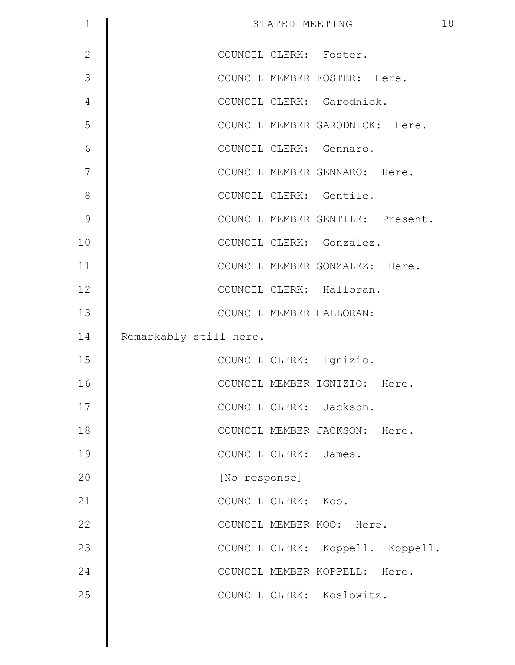| $\mathbf 1$    | STATED MEETING                   | 18 |
|----------------|----------------------------------|----|
| $\mathbf{2}$   | COUNCIL CLERK: Foster.           |    |
| 3              | COUNCIL MEMBER FOSTER: Here.     |    |
| $\overline{4}$ | COUNCIL CLERK: Garodnick.        |    |
| 5              | COUNCIL MEMBER GARODNICK: Here.  |    |
| 6              | COUNCIL CLERK: Gennaro.          |    |
| 7              | COUNCIL MEMBER GENNARO: Here.    |    |
| $8\,$          | COUNCIL CLERK: Gentile.          |    |
| $\mathcal{G}$  | COUNCIL MEMBER GENTILE: Present. |    |
| 10             | COUNCIL CLERK: Gonzalez.         |    |
| 11             | COUNCIL MEMBER GONZALEZ: Here.   |    |
| 12             | COUNCIL CLERK: Halloran.         |    |
| 13             | COUNCIL MEMBER HALLORAN:         |    |
| 14             | Remarkably still here.           |    |
| 15             | COUNCIL CLERK: Ignizio.          |    |
| 16             | COUNCIL MEMBER IGNIZIO: Here.    |    |
| 17             | COUNCIL CLERK: Jackson.          |    |
| 18             | COUNCIL MEMBER JACKSON: Here.    |    |
| 19             | COUNCIL CLERK: James.            |    |
| 20             | [No response]                    |    |
| 21             | COUNCIL CLERK: Koo.              |    |
| 22             | COUNCIL MEMBER KOO: Here.        |    |
| 23             | COUNCIL CLERK: Koppell. Koppell. |    |
| 24             | COUNCIL MEMBER KOPPELL: Here.    |    |
| 25             | COUNCIL CLERK: Koslowitz.        |    |
|                |                                  |    |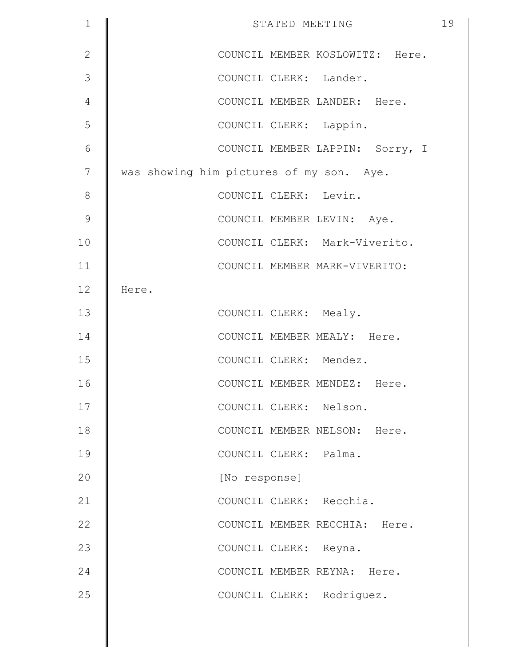| $\mathbf 1$   | STATED MEETING                           | 19 |
|---------------|------------------------------------------|----|
| $\mathbf{2}$  | COUNCIL MEMBER KOSLOWITZ: Here.          |    |
| 3             | COUNCIL CLERK: Lander.                   |    |
| 4             | COUNCIL MEMBER LANDER: Here.             |    |
| 5             | COUNCIL CLERK: Lappin.                   |    |
| 6             | COUNCIL MEMBER LAPPIN: Sorry, I          |    |
| 7             | was showing him pictures of my son. Aye. |    |
| 8             | COUNCIL CLERK: Levin.                    |    |
| $\mathcal{G}$ | COUNCIL MEMBER LEVIN: Aye.               |    |
| 10            | COUNCIL CLERK: Mark-Viverito.            |    |
| 11            | COUNCIL MEMBER MARK-VIVERITO:            |    |
| 12            | Here.                                    |    |
| 13            | COUNCIL CLERK: Mealy.                    |    |
| 14            | COUNCIL MEMBER MEALY: Here.              |    |
| 15            | COUNCIL CLERK: Mendez.                   |    |
| 16            | COUNCIL MEMBER MENDEZ: Here.             |    |
| 17            | COUNCIL CLERK: Nelson.                   |    |
| 18            | COUNCIL MEMBER NELSON: Here.             |    |
| 19            | COUNCIL CLERK: Palma.                    |    |
| 20            | [No response]                            |    |
| 21            | COUNCIL CLERK: Recchia.                  |    |
| 22            | COUNCIL MEMBER RECCHIA: Here.            |    |
| 23            | COUNCIL CLERK: Reyna.                    |    |
| 24            | COUNCIL MEMBER REYNA: Here.              |    |
| 25            | COUNCIL CLERK: Rodriguez.                |    |
|               |                                          |    |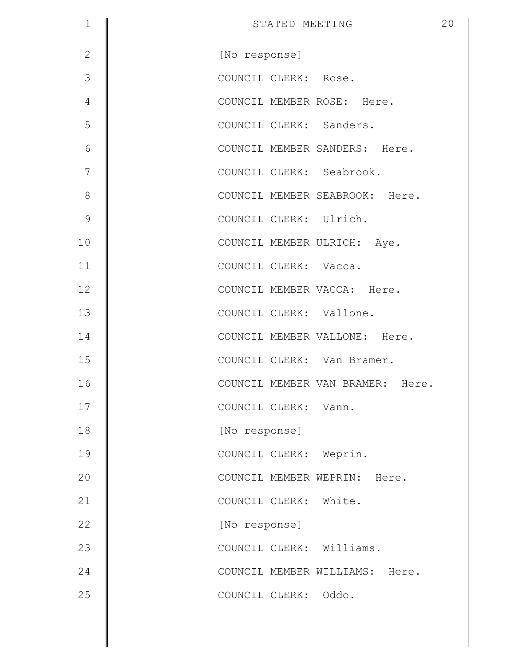| $\mathbf 1$   | STATED MEETING                   | 20 |
|---------------|----------------------------------|----|
| $\mathbf{2}$  | [No response]                    |    |
| 3             | COUNCIL CLERK: Rose.             |    |
| 4             | COUNCIL MEMBER ROSE: Here.       |    |
| 5             | COUNCIL CLERK: Sanders.          |    |
| 6             | COUNCIL MEMBER SANDERS: Here.    |    |
| 7             | COUNCIL CLERK: Seabrook.         |    |
| $8\,$         | COUNCIL MEMBER SEABROOK: Here.   |    |
| $\mathcal{G}$ | COUNCIL CLERK: Ulrich.           |    |
| 10            | COUNCIL MEMBER ULRICH: Aye.      |    |
| 11            | COUNCIL CLERK: Vacca.            |    |
| 12            | COUNCIL MEMBER VACCA: Here.      |    |
| 13            | COUNCIL CLERK: Vallone.          |    |
| 14            | COUNCIL MEMBER VALLONE: Here.    |    |
| 15            | COUNCIL CLERK: Van Bramer.       |    |
| 16            | COUNCIL MEMBER VAN BRAMER: Here. |    |
| 17            | COUNCIL CLERK: Vann.             |    |
| 18            | [No response]                    |    |
| 19            | COUNCIL CLERK: Weprin.           |    |
| 20            | COUNCIL MEMBER WEPRIN: Here.     |    |
| 21            | COUNCIL CLERK: White.            |    |
| 22            | [No response]                    |    |
| 23            | COUNCIL CLERK: Williams.         |    |
| 24            | COUNCIL MEMBER WILLIAMS: Here.   |    |
| 25            | COUNCIL CLERK: Oddo.             |    |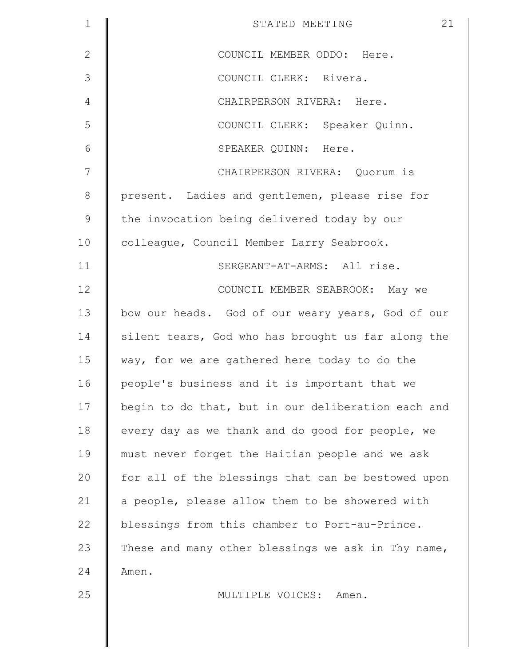| $\mathbf 1$  | 21<br>STATED MEETING                               |
|--------------|----------------------------------------------------|
| $\mathbf{2}$ | COUNCIL MEMBER ODDO: Here.                         |
| 3            | COUNCIL CLERK: Rivera.                             |
| 4            | CHAIRPERSON RIVERA: Here.                          |
| 5            | COUNCIL CLERK: Speaker Quinn.                      |
| 6            | SPEAKER QUINN: Here.                               |
| 7            | CHAIRPERSON RIVERA: Quorum is                      |
| $\,8\,$      | present. Ladies and gentlemen, please rise for     |
| $\mathsf 9$  | the invocation being delivered today by our        |
| 10           | colleague, Council Member Larry Seabrook.          |
| 11           | SERGEANT-AT-ARMS: All rise.                        |
| 12           | COUNCIL MEMBER SEABROOK: May we                    |
| 13           | bow our heads. God of our weary years, God of our  |
| 14           | silent tears, God who has brought us far along the |
| 15           | way, for we are gathered here today to do the      |
| 16           | people's business and it is important that we      |
| 17           | begin to do that, but in our deliberation each and |
| 18           | every day as we thank and do good for people, we   |
| 19           | must never forget the Haitian people and we ask    |
| 20           | for all of the blessings that can be bestowed upon |
| 21           | a people, please allow them to be showered with    |
| 22           | blessings from this chamber to Port-au-Prince.     |
| 23           | These and many other blessings we ask in Thy name, |
| 24           | Amen.                                              |
| 25           | MULTIPLE VOICES:<br>Amen.                          |
|              |                                                    |
|              |                                                    |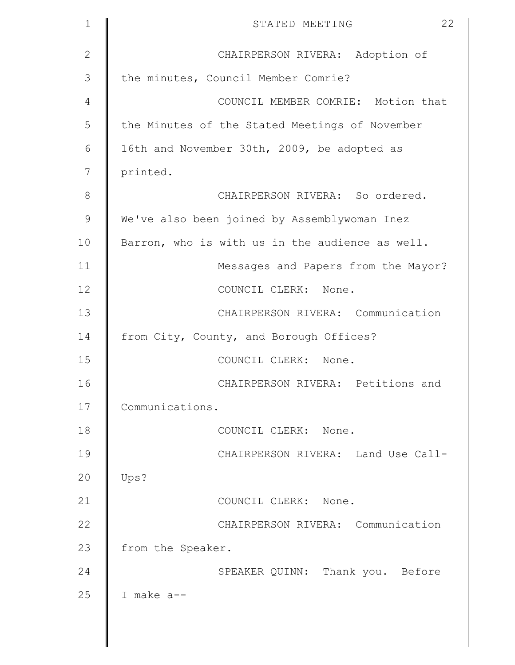| $\mathbf{1}$   | 22<br>STATED MEETING                            |
|----------------|-------------------------------------------------|
| $\mathbf{2}$   | CHAIRPERSON RIVERA: Adoption of                 |
| 3              | the minutes, Council Member Comrie?             |
| 4              | COUNCIL MEMBER COMRIE: Motion that              |
| 5              | the Minutes of the Stated Meetings of November  |
| 6              | 16th and November 30th, 2009, be adopted as     |
| 7              | printed.                                        |
| 8              | CHAIRPERSON RIVERA: So ordered.                 |
| $\overline{9}$ | We've also been joined by Assemblywoman Inez    |
| 10             | Barron, who is with us in the audience as well. |
| 11             | Messages and Papers from the Mayor?             |
| 12             | COUNCIL CLERK: None.                            |
| 13             | CHAIRPERSON RIVERA: Communication               |
| 14             | from City, County, and Borough Offices?         |
| 15             | COUNCIL CLERK: None.                            |
| 16             | CHAIRPERSON RIVERA: Petitions and               |
| 17             | Communications.                                 |
| 18             | COUNCIL CLERK: None.                            |
| 19             | CHAIRPERSON RIVERA: Land Use Call-              |
| 20             | Ups?                                            |
| 21             | COUNCIL CLERK: None.                            |
| 22             | CHAIRPERSON RIVERA: Communication               |
| 23             | from the Speaker.                               |
| 24             | SPEAKER QUINN: Thank you. Before                |
| 25             | I make a--                                      |
|                |                                                 |
|                |                                                 |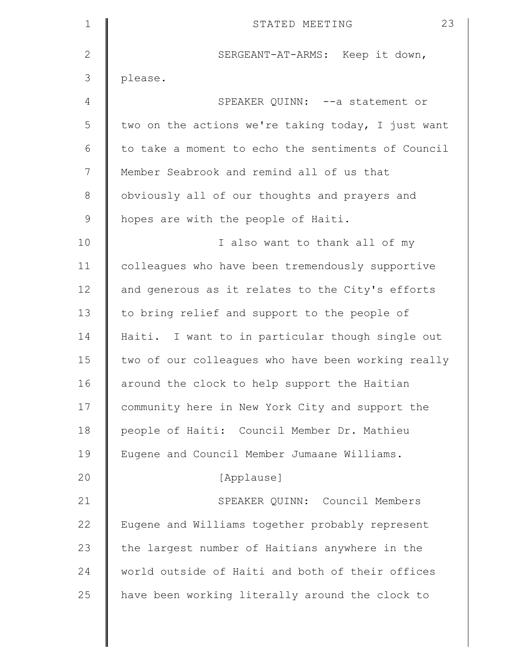| $\mathbf 1$  | 23<br>STATED MEETING                               |
|--------------|----------------------------------------------------|
| $\mathbf{2}$ | SERGEANT-AT-ARMS: Keep it down,                    |
| 3            | please.                                            |
| 4            | SPEAKER QUINN: -- a statement or                   |
| 5            | two on the actions we're taking today, I just want |
| 6            | to take a moment to echo the sentiments of Council |
| 7            | Member Seabrook and remind all of us that          |
| $8\,$        | obviously all of our thoughts and prayers and      |
| $\mathsf 9$  | hopes are with the people of Haiti.                |
| 10           | I also want to thank all of my                     |
| 11           | colleagues who have been tremendously supportive   |
| 12           | and generous as it relates to the City's efforts   |
| 13           | to bring relief and support to the people of       |
| 14           | Haiti. I want to in particular though single out   |
| 15           | two of our colleagues who have been working really |
| 16           | around the clock to help support the Haitian       |
| 17           | community here in New York City and support the    |
| 18           | people of Haiti: Council Member Dr. Mathieu        |
| 19           | Eugene and Council Member Jumaane Williams.        |
| 20           | [Applause]                                         |
| 21           | SPEAKER QUINN: Council Members                     |
| 22           | Eugene and Williams together probably represent    |
| 23           | the largest number of Haitians anywhere in the     |
| 24           | world outside of Haiti and both of their offices   |
| 25           | have been working literally around the clock to    |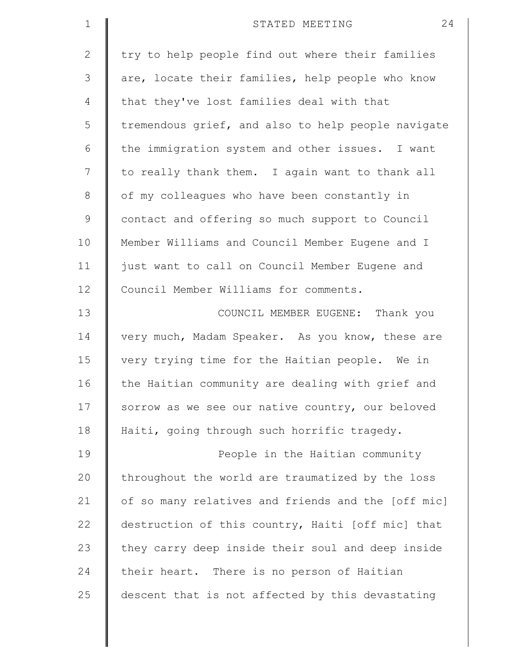| $\mathbf 1$  | 24<br>STATED MEETING                               |
|--------------|----------------------------------------------------|
| $\mathbf{2}$ | try to help people find out where their families   |
| 3            | are, locate their families, help people who know   |
| 4            | that they've lost families deal with that          |
| 5            | tremendous grief, and also to help people navigate |
| 6            | the immigration system and other issues. I want    |
| 7            | to really thank them. I again want to thank all    |
| 8            | of my colleagues who have been constantly in       |
| $\mathsf 9$  | contact and offering so much support to Council    |
| 10           | Member Williams and Council Member Eugene and I    |
| 11           | just want to call on Council Member Eugene and     |
| 12           | Council Member Williams for comments.              |
| 13           | COUNCIL MEMBER EUGENE: Thank you                   |
| 14           | very much, Madam Speaker. As you know, these are   |
| 15           | very trying time for the Haitian people. We in     |
| 16           | the Haitian community are dealing with grief and   |
| 17           | sorrow as we see our native country, our beloved   |
| 18           | Haiti, going through such horrific tragedy.        |
| 19           | People in the Haitian community                    |
| 20           | throughout the world are traumatized by the loss   |
| 21           | of so many relatives and friends and the [off mic] |
| 22           | destruction of this country, Haiti [off mic] that  |
| 23           | they carry deep inside their soul and deep inside  |
| 24           | their heart. There is no person of Haitian         |
| 25           | descent that is not affected by this devastating   |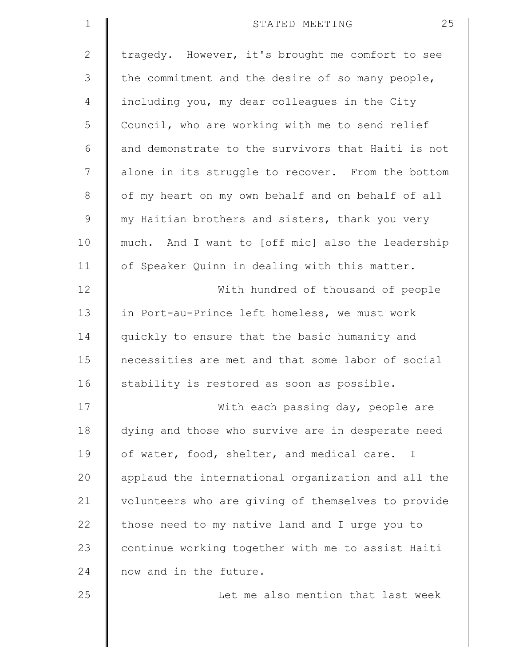| $\mathbf 1$    | 25<br>STATED MEETING                               |
|----------------|----------------------------------------------------|
| $\mathbf{2}$   | tragedy. However, it's brought me comfort to see   |
| 3              | the commitment and the desire of so many people,   |
| $\overline{4}$ | including you, my dear colleagues in the City      |
| 5              | Council, who are working with me to send relief    |
| 6              | and demonstrate to the survivors that Haiti is not |
| 7              | alone in its struggle to recover. From the bottom  |
| $\,8\,$        | of my heart on my own behalf and on behalf of all  |
| $\mathcal{G}$  | my Haitian brothers and sisters, thank you very    |
| 10             | much. And I want to [off mic] also the leadership  |
| 11             | of Speaker Quinn in dealing with this matter.      |
| 12             | With hundred of thousand of people                 |
| 13             | in Port-au-Prince left homeless, we must work      |
| 14             | quickly to ensure that the basic humanity and      |
| 15             | necessities are met and that some labor of social  |
| 16             | stability is restored as soon as possible.         |
| 17             | With each passing day, people are                  |
| 18             | dying and those who survive are in desperate need  |
| 19             | of water, food, shelter, and medical care. I       |
| 20             | applaud the international organization and all the |
| 21             | volunteers who are giving of themselves to provide |
| 22             | those need to my native land and I urge you to     |
| 23             | continue working together with me to assist Haiti  |
| 24             | now and in the future.                             |
| 25             | Let me also mention that last week                 |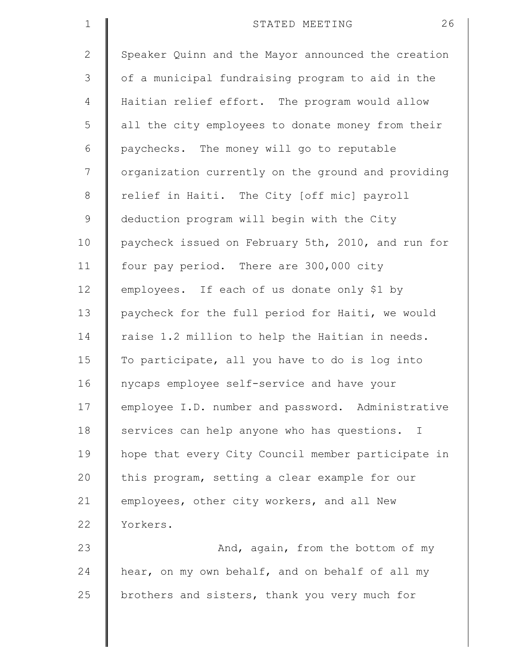| $\mathbf 1$  | 26<br>STATED MEETING                               |
|--------------|----------------------------------------------------|
| $\mathbf{2}$ | Speaker Quinn and the Mayor announced the creation |
| 3            | of a municipal fundraising program to aid in the   |
| 4            | Haitian relief effort. The program would allow     |
| 5            | all the city employees to donate money from their  |
| 6            | paychecks. The money will go to reputable          |
| 7            | organization currently on the ground and providing |
| $\,8\,$      | relief in Haiti. The City [off mic] payroll        |
| $\mathsf 9$  | deduction program will begin with the City         |
| 10           | paycheck issued on February 5th, 2010, and run for |
| 11           | four pay period. There are 300,000 city            |
| 12           | employees. If each of us donate only \$1 by        |
| 13           | paycheck for the full period for Haiti, we would   |
| 14           | raise 1.2 million to help the Haitian in needs.    |
| 15           | To participate, all you have to do is log into     |
| 16           | nycaps employee self-service and have your         |
| 17           | employee I.D. number and password. Administrative  |
| 18           | services can help anyone who has questions. I      |
| 19           | hope that every City Council member participate in |
| 20           | this program, setting a clear example for our      |
| 21           | employees, other city workers, and all New         |
| 22           | Yorkers.                                           |
| 23           | And, again, from the bottom of my                  |
| 24           | hear, on my own behalf, and on behalf of all my    |
| 25           | brothers and sisters, thank you very much for      |
|              |                                                    |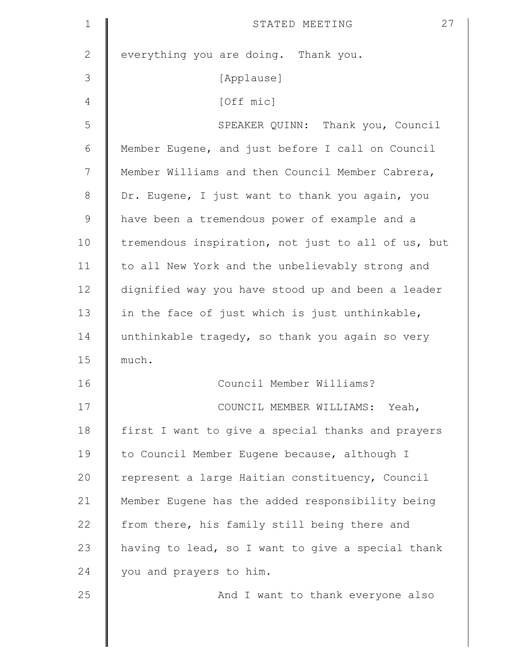| $\mathbf 1$   | 27<br>STATED MEETING                               |
|---------------|----------------------------------------------------|
| $\mathbf{2}$  | everything you are doing. Thank you.               |
| 3             | [Applause]                                         |
| 4             | [Off mic]                                          |
| 5             | SPEAKER QUINN: Thank you, Council                  |
| 6             | Member Eugene, and just before I call on Council   |
| 7             | Member Williams and then Council Member Cabrera,   |
| $8\,$         | Dr. Eugene, I just want to thank you again, you    |
| $\mathcal{G}$ | have been a tremendous power of example and a      |
| 10            | tremendous inspiration, not just to all of us, but |
| 11            | to all New York and the unbelievably strong and    |
| 12            | dignified way you have stood up and been a leader  |
| 13            | in the face of just which is just unthinkable,     |
| 14            | unthinkable tragedy, so thank you again so very    |
| 15            | much.                                              |
| 16            | Council Member Williams?                           |
| 17            | COUNCIL MEMBER WILLIAMS: Yeah,                     |
| 18            | first I want to give a special thanks and prayers  |
| 19            | to Council Member Eugene because, although I       |
| 20            | represent a large Haitian constituency, Council    |
| 21            | Member Eugene has the added responsibility being   |
| 22            | from there, his family still being there and       |
| 23            | having to lead, so I want to give a special thank  |
| 24            | you and prayers to him.                            |
| 25            | And I want to thank everyone also                  |
|               |                                                    |
|               |                                                    |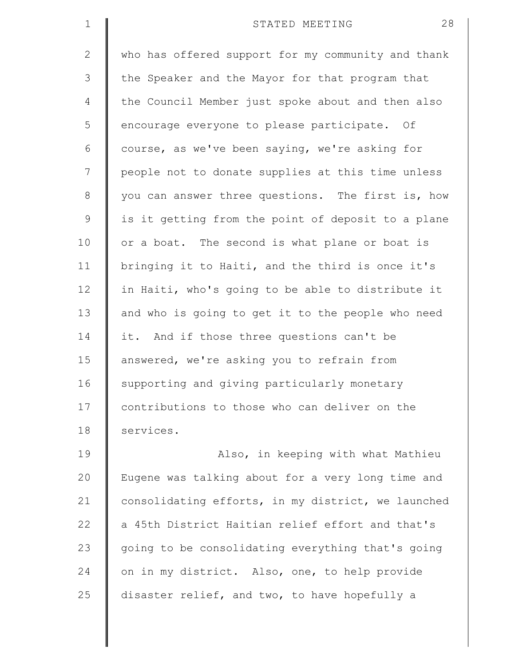| $\mathbf 1$  | 28<br>STATED MEETING                               |
|--------------|----------------------------------------------------|
| $\mathbf{2}$ | who has offered support for my community and thank |
| 3            | the Speaker and the Mayor for that program that    |
| 4            | the Council Member just spoke about and then also  |
| 5            | encourage everyone to please participate. Of       |
| 6            | course, as we've been saying, we're asking for     |
| 7            | people not to donate supplies at this time unless  |
| $\,8\,$      | you can answer three questions. The first is, how  |
| $\mathsf 9$  | is it getting from the point of deposit to a plane |
| 10           | or a boat. The second is what plane or boat is     |
| 11           | bringing it to Haiti, and the third is once it's   |
| 12           | in Haiti, who's going to be able to distribute it  |
| 13           | and who is going to get it to the people who need  |
| 14           | it. And if those three questions can't be          |
| 15           | answered, we're asking you to refrain from         |
| 16           | supporting and giving particularly monetary        |
| 17           | contributions to those who can deliver on the      |
| 18           | services.                                          |
| 19           | Also, in keeping with what Mathieu                 |
| 20           | Eugene was talking about for a very long time and  |
| 21           | consolidating efforts, in my district, we launched |
| 22           | a 45th District Haitian relief effort and that's   |
| 23           | going to be consolidating everything that's going  |
| 24           | on in my district. Also, one, to help provide      |
| 25           | disaster relief, and two, to have hopefully a      |
|              |                                                    |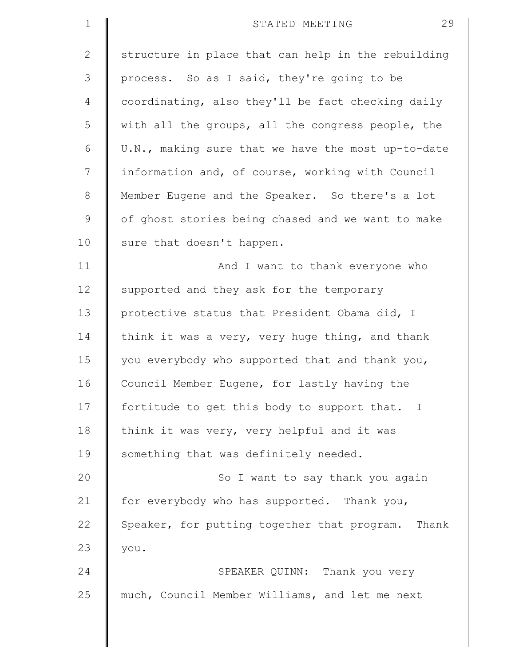| $\mathbf 1$  | 29<br>STATED MEETING                               |
|--------------|----------------------------------------------------|
| $\mathbf{2}$ | structure in place that can help in the rebuilding |
| 3            | process. So as I said, they're going to be         |
| 4            | coordinating, also they'll be fact checking daily  |
| 5            | with all the groups, all the congress people, the  |
| 6            | U.N., making sure that we have the most up-to-date |
| 7            | information and, of course, working with Council   |
| $\,8\,$      | Member Eugene and the Speaker. So there's a lot    |
| $\mathsf 9$  | of ghost stories being chased and we want to make  |
| 10           | sure that doesn't happen.                          |
| 11           | And I want to thank everyone who                   |
| 12           | supported and they ask for the temporary           |
| 13           | protective status that President Obama did, I      |
| 14           | think it was a very, very huge thing, and thank    |
| 15           | you everybody who supported that and thank you,    |
| 16           | Council Member Eugene, for lastly having the       |
| 17           | fortitude to get this body to support that. I      |
| 18           | think it was very, very helpful and it was         |
| 19           | something that was definitely needed.              |
| 20           | So I want to say thank you again                   |
| 21           | for everybody who has supported. Thank you,        |
| 22           | Speaker, for putting together that program. Thank  |
| 23           | you.                                               |
| 24           | SPEAKER QUINN: Thank you very                      |
| 25           | much, Council Member Williams, and let me next     |
|              |                                                    |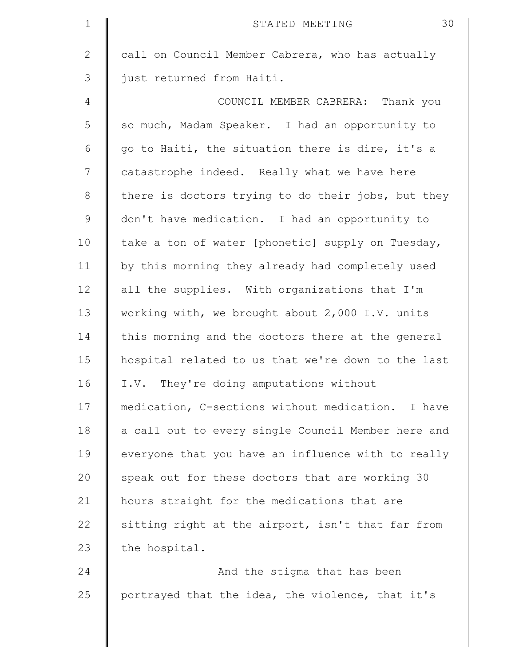| $\mathbf 1$    | 30<br>STATED MEETING                               |
|----------------|----------------------------------------------------|
| $\mathbf{2}$   | call on Council Member Cabrera, who has actually   |
| 3              | just returned from Haiti.                          |
| $\overline{4}$ | COUNCIL MEMBER CABRERA: Thank you                  |
| 5              | so much, Madam Speaker. I had an opportunity to    |
| 6              | go to Haiti, the situation there is dire, it's a   |
| 7              | catastrophe indeed. Really what we have here       |
| $8\,$          | there is doctors trying to do their jobs, but they |
| $\mathcal{G}$  | don't have medication. I had an opportunity to     |
| 10             | take a ton of water [phonetic] supply on Tuesday,  |
| 11             | by this morning they already had completely used   |
| 12             | all the supplies. With organizations that I'm      |
| 13             | working with, we brought about 2,000 I.V. units    |
| 14             | this morning and the doctors there at the general  |
| 15             | hospital related to us that we're down to the last |
| 16             | I.V. They're doing amputations without             |
| 17             | medication, C-sections without medication. I have  |
| 18             | a call out to every single Council Member here and |
| 19             | everyone that you have an influence with to really |
| 20             | speak out for these doctors that are working 30    |
| 21             | hours straight for the medications that are        |
| 22             | sitting right at the airport, isn't that far from  |
| 23             | the hospital.                                      |
| 24             | And the stigma that has been                       |
| 25             | portrayed that the idea, the violence, that it's   |
|                |                                                    |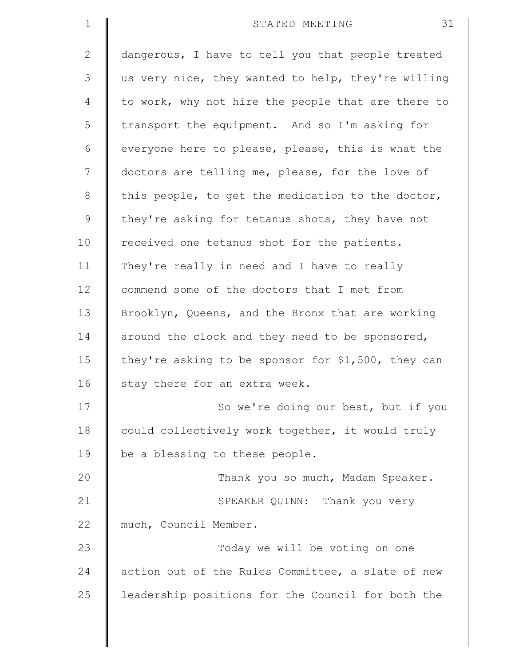| $\mathbf 1$  | 31<br>STATED MEETING                               |
|--------------|----------------------------------------------------|
| $\mathbf{2}$ | dangerous, I have to tell you that people treated  |
| 3            | us very nice, they wanted to help, they're willing |
| 4            | to work, why not hire the people that are there to |
| 5            | transport the equipment. And so I'm asking for     |
| 6            | everyone here to please, please, this is what the  |
| 7            | doctors are telling me, please, for the love of    |
| $\,8\,$      | this people, to get the medication to the doctor,  |
| $\mathsf 9$  | they're asking for tetanus shots, they have not    |
| 10           | received one tetanus shot for the patients.        |
| 11           | They're really in need and I have to really        |
| 12           | commend some of the doctors that I met from        |
| 13           | Brooklyn, Queens, and the Bronx that are working   |
| 14           | around the clock and they need to be sponsored,    |
| 15           | they're asking to be sponsor for \$1,500, they can |
| 16           | stay there for an extra week.                      |
| 17           | So we're doing our best, but if you                |
| 18           | could collectively work together, it would truly   |
| 19           | be a blessing to these people.                     |
| 20           | Thank you so much, Madam Speaker.                  |
| 21           | SPEAKER QUINN: Thank you very                      |
| 22           | much, Council Member.                              |
| 23           | Today we will be voting on one                     |
| 24           | action out of the Rules Committee, a slate of new  |
| 25           | leadership positions for the Council for both the  |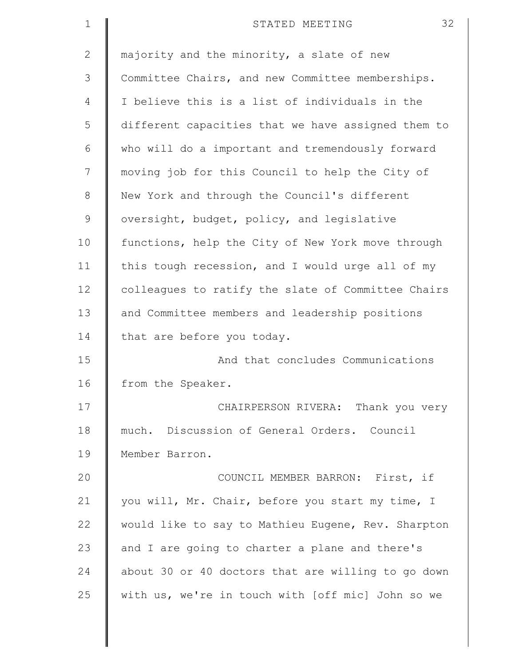| $\mathbf 1$  | 32<br>STATED MEETING                               |
|--------------|----------------------------------------------------|
| $\mathbf{2}$ | majority and the minority, a slate of new          |
| 3            | Committee Chairs, and new Committee memberships.   |
| 4            | I believe this is a list of individuals in the     |
| 5            | different capacities that we have assigned them to |
| 6            | who will do a important and tremendously forward   |
| 7            | moving job for this Council to help the City of    |
| 8            | New York and through the Council's different       |
| $\mathsf 9$  | oversight, budget, policy, and legislative         |
| 10           | functions, help the City of New York move through  |
| 11           | this tough recession, and I would urge all of my   |
| 12           | colleagues to ratify the slate of Committee Chairs |
| 13           | and Committee members and leadership positions     |
| 14           | that are before you today.                         |
| 15           | And that concludes Communications                  |
| 16           | from the Speaker.                                  |
| 17           | CHAIRPERSON RIVERA: Thank you very                 |
| 18           | much. Discussion of General Orders. Council        |
| 19           | Member Barron.                                     |
| 20           | COUNCIL MEMBER BARRON: First, if                   |
| 21           | you will, Mr. Chair, before you start my time, I   |
| 22           | would like to say to Mathieu Eugene, Rev. Sharpton |
| 23           | and I are going to charter a plane and there's     |
| 24           | about 30 or 40 doctors that are willing to go down |
| 25           | with us, we're in touch with [off mic] John so we  |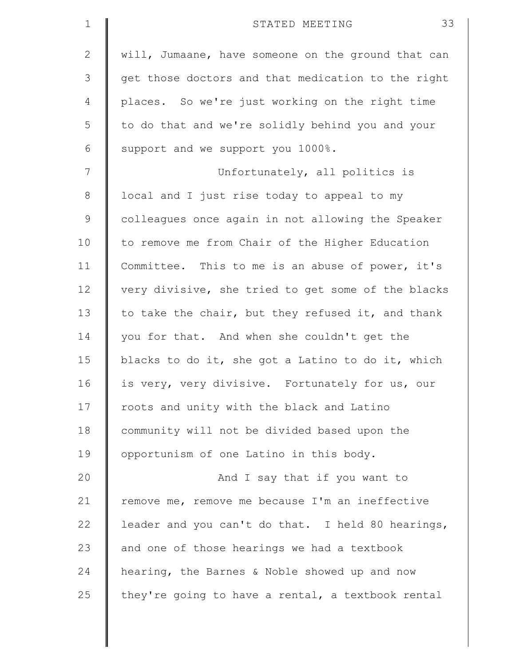| $\mathbf 1$  | 33<br>STATED MEETING                               |
|--------------|----------------------------------------------------|
| $\mathbf{2}$ | will, Jumaane, have someone on the ground that can |
| 3            | get those doctors and that medication to the right |
| 4            | places. So we're just working on the right time    |
| 5            | to do that and we're solidly behind you and your   |
| 6            | support and we support you 1000%.                  |
| 7            | Unfortunately, all politics is                     |
| $8\,$        | local and I just rise today to appeal to my        |
| $\mathsf 9$  | colleagues once again in not allowing the Speaker  |
| 10           | to remove me from Chair of the Higher Education    |
| 11           | Committee. This to me is an abuse of power, it's   |
| 12           | very divisive, she tried to get some of the blacks |
| 13           | to take the chair, but they refused it, and thank  |
| 14           | you for that. And when she couldn't get the        |
| 15           | blacks to do it, she got a Latino to do it, which  |
| 16           | is very, very divisive. Fortunately for us, our    |
| 17           | roots and unity with the black and Latino          |
| 18           | community will not be divided based upon the       |
| 19           | opportunism of one Latino in this body.            |
| 20           | And I say that if you want to                      |
| 21           | remove me, remove me because I'm an ineffective    |
| 22           | leader and you can't do that. I held 80 hearings,  |
| 23           | and one of those hearings we had a textbook        |
| 24           | hearing, the Barnes & Noble showed up and now      |
| 25           | they're going to have a rental, a textbook rental  |
|              |                                                    |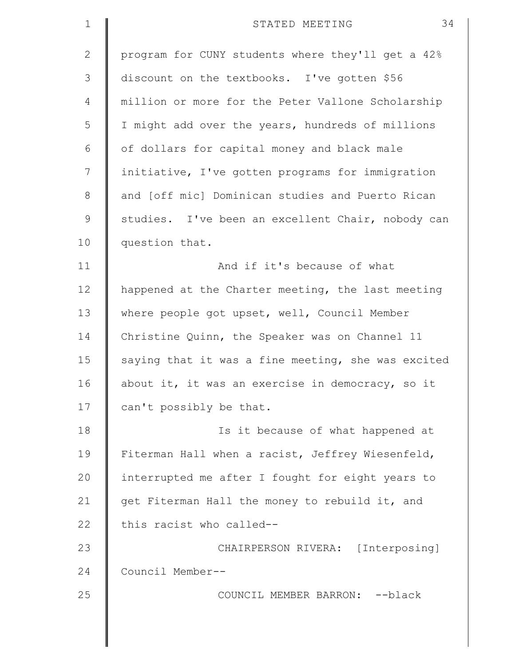| $\mathbf 1$  | 34<br>STATED MEETING                               |
|--------------|----------------------------------------------------|
| $\mathbf{2}$ | program for CUNY students where they'll get a 42%  |
| 3            | discount on the textbooks. I've gotten \$56        |
| 4            | million or more for the Peter Vallone Scholarship  |
| 5            | I might add over the years, hundreds of millions   |
| 6            | of dollars for capital money and black male        |
| 7            | initiative, I've gotten programs for immigration   |
| $\,8\,$      | and [off mic] Dominican studies and Puerto Rican   |
| $\mathsf 9$  | studies. I've been an excellent Chair, nobody can  |
| 10           | question that.                                     |
| 11           | And if it's because of what                        |
| 12           | happened at the Charter meeting, the last meeting  |
| 13           | where people got upset, well, Council Member       |
| 14           | Christine Quinn, the Speaker was on Channel 11     |
| 15           | saying that it was a fine meeting, she was excited |
| 16           | about it, it was an exercise in democracy, so it   |
| 17           | can't possibly be that.                            |
| 18           | Is it because of what happened at                  |
| 19           | Fiterman Hall when a racist, Jeffrey Wiesenfeld,   |
| 20           | interrupted me after I fought for eight years to   |
| 21           | get Fiterman Hall the money to rebuild it, and     |
| 22           | this racist who called--                           |
| 23           | CHAIRPERSON RIVERA: [Interposing]                  |
| 24           | Council Member--                                   |
| 25           | COUNCIL MEMBER BARRON: -- black                    |
|              |                                                    |
|              |                                                    |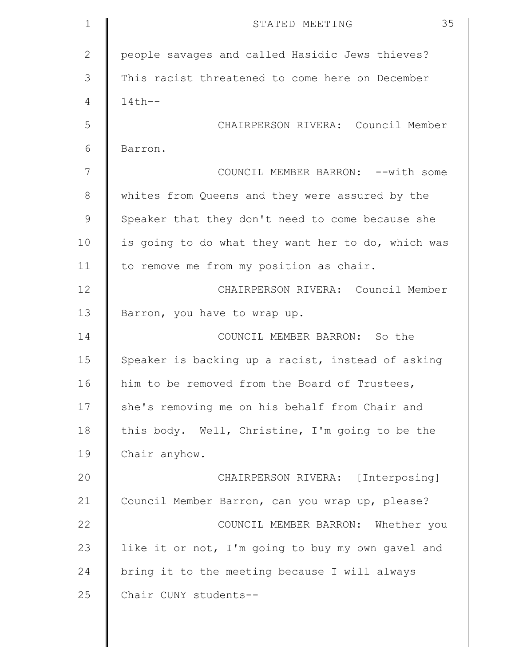| $\mathbf 1$  | 35<br>STATED MEETING                               |
|--------------|----------------------------------------------------|
| $\mathbf{2}$ | people savages and called Hasidic Jews thieves?    |
| 3            | This racist threatened to come here on December    |
| 4            | $14th--$                                           |
| 5            | CHAIRPERSON RIVERA: Council Member                 |
| 6            | Barron.                                            |
| 7            | COUNCIL MEMBER BARRON: -- with some                |
| 8            | whites from Queens and they were assured by the    |
| $\mathsf 9$  | Speaker that they don't need to come because she   |
| 10           | is going to do what they want her to do, which was |
| 11           | to remove me from my position as chair.            |
| 12           | CHAIRPERSON RIVERA: Council Member                 |
| 13           | Barron, you have to wrap up.                       |
| 14           | COUNCIL MEMBER BARRON: So the                      |
| 15           | Speaker is backing up a racist, instead of asking  |
| 16           | him to be removed from the Board of Trustees,      |
| 17           | she's removing me on his behalf from Chair and     |
| 18           | this body. Well, Christine, I'm going to be the    |
| 19           | Chair anyhow.                                      |
| 20           | CHAIRPERSON RIVERA: [Interposing]                  |
| 21           | Council Member Barron, can you wrap up, please?    |
| 22           | COUNCIL MEMBER BARRON: Whether you                 |
| 23           | like it or not, I'm going to buy my own gavel and  |
| 24           | bring it to the meeting because I will always      |
| 25           | Chair CUNY students--                              |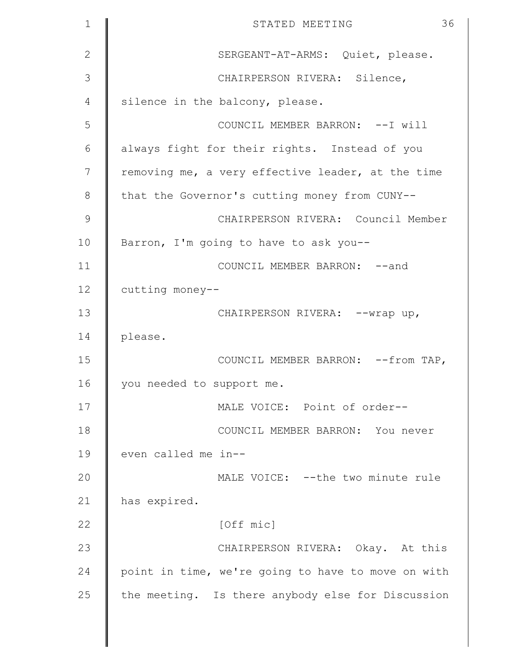| $\mathbf 1$   | 36<br>STATED MEETING                               |
|---------------|----------------------------------------------------|
| $\mathbf{2}$  | SERGEANT-AT-ARMS: Quiet, please.                   |
| 3             | CHAIRPERSON RIVERA: Silence,                       |
| 4             | silence in the balcony, please.                    |
| 5             | COUNCIL MEMBER BARRON: --I will                    |
| 6             | always fight for their rights. Instead of you      |
| 7             | removing me, a very effective leader, at the time  |
| 8             | that the Governor's cutting money from CUNY--      |
| $\mathcal{G}$ | CHAIRPERSON RIVERA: Council Member                 |
| 10            | Barron, I'm going to have to ask you--             |
| 11            | COUNCIL MEMBER BARRON: -- and                      |
| 12            | cutting money--                                    |
| 13            | CHAIRPERSON RIVERA: -- wrap up,                    |
| 14            | please.                                            |
| 15            | COUNCIL MEMBER BARRON: -- from TAP,                |
| 16            | you needed to support me.                          |
| 17            | MALE VOICE: Point of order--                       |
| 18            | COUNCIL MEMBER BARRON: You never                   |
| 19            | even called me in--                                |
| 20            | MALE VOICE: --the two minute rule                  |
| 21            | has expired.                                       |
| 22            | [Off mic]                                          |
| 23            | CHAIRPERSON RIVERA: Okay. At this                  |
| 24            | point in time, we're going to have to move on with |
| 25            | the meeting. Is there anybody else for Discussion  |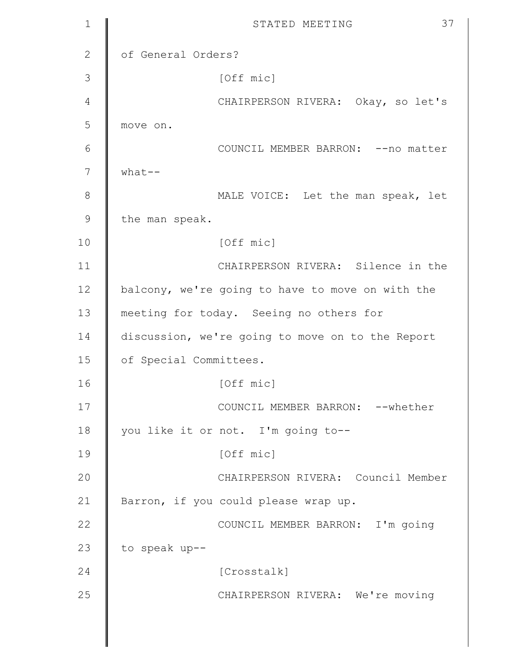| $\mathbf{1}$ | 37<br>STATED MEETING                             |
|--------------|--------------------------------------------------|
| 2            | of General Orders?                               |
| 3            | [Off mic]                                        |
| 4            | CHAIRPERSON RIVERA: Okay, so let's               |
| 5            | move on.                                         |
| 6            | COUNCIL MEMBER BARRON: -- no matter              |
| 7            | $what--$                                         |
| 8            | MALE VOICE: Let the man speak, let               |
| 9            | the man speak.                                   |
| 10           | [Off mic]                                        |
| 11           | CHAIRPERSON RIVERA: Silence in the               |
| 12           | balcony, we're going to have to move on with the |
| 13           | meeting for today. Seeing no others for          |
| 14           | discussion, we're going to move on to the Report |
| 15           | of Special Committees.                           |
| 16           | [Off mic]                                        |
| 17           | COUNCIL MEMBER BARRON: -- whether                |
| 18           | you like it or not. I'm going to--               |
| 19           | [Off mic]                                        |
| 20           | CHAIRPERSON RIVERA: Council Member               |
| 21           | Barron, if you could please wrap up.             |
| 22           | COUNCIL MEMBER BARRON: I'm going                 |
| 23           | to speak up--                                    |
| 24           | [Crosstalk]                                      |
| 25           | CHAIRPERSON RIVERA: We're moving                 |
|              |                                                  |
|              |                                                  |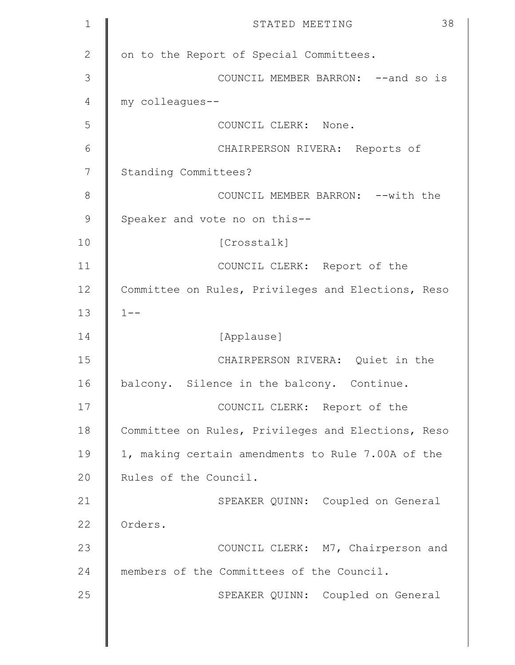| $\mathbf 1$    | 38<br>STATED MEETING                               |
|----------------|----------------------------------------------------|
| $\mathbf{2}$   | on to the Report of Special Committees.            |
| 3              | COUNCIL MEMBER BARRON: -- and so is                |
| $\overline{4}$ | my colleagues--                                    |
| 5              | COUNCIL CLERK: None.                               |
| 6              | CHAIRPERSON RIVERA: Reports of                     |
| 7              | Standing Committees?                               |
| $\,8\,$        | COUNCIL MEMBER BARRON: -- with the                 |
| 9              | Speaker and vote no on this--                      |
| 10             | [Crosstalk]                                        |
| 11             | COUNCIL CLERK: Report of the                       |
| 12             | Committee on Rules, Privileges and Elections, Reso |
| 13             | $1 - -$                                            |
| 14             | [Applause]                                         |
| 15             | CHAIRPERSON RIVERA: Quiet in the                   |
| 16             | balcony. Silence in the balcony. Continue.         |
| 17             | COUNCIL CLERK: Report of the                       |
| 18             | Committee on Rules, Privileges and Elections, Reso |
| 19             | 1, making certain amendments to Rule 7.00A of the  |
| 20             | Rules of the Council.                              |
| 21             | SPEAKER QUINN: Coupled on General                  |
| 22             | Orders.                                            |
| 23             | COUNCIL CLERK: M7, Chairperson and                 |
| 24             | members of the Committees of the Council.          |
| 25             | SPEAKER QUINN: Coupled on General                  |
|                |                                                    |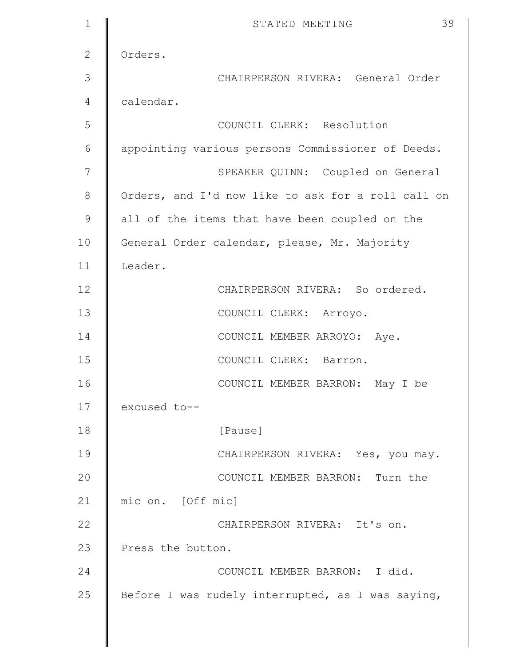| $\mathbf{1}$  | 39<br>STATED MEETING                               |
|---------------|----------------------------------------------------|
| 2             | Orders.                                            |
| 3             | CHAIRPERSON RIVERA: General Order                  |
| 4             | calendar.                                          |
| 5             | COUNCIL CLERK: Resolution                          |
| 6             | appointing various persons Commissioner of Deeds.  |
| 7             | SPEAKER QUINN: Coupled on General                  |
| 8             | Orders, and I'd now like to ask for a roll call on |
| $\mathcal{G}$ | all of the items that have been coupled on the     |
| 10            | General Order calendar, please, Mr. Majority       |
| 11            | Leader.                                            |
| 12            | CHAIRPERSON RIVERA: So ordered.                    |
| 13            | COUNCIL CLERK: Arroyo.                             |
| 14            | COUNCIL MEMBER ARROYO: Aye.                        |
| 15            | COUNCIL CLERK: Barron.                             |
| 16            | COUNCIL MEMBER BARRON: May I be                    |
| 17            | excused to--                                       |
| 18            | [Pause]                                            |
| 19            | CHAIRPERSON RIVERA: Yes, you may.                  |
| 20            | COUNCIL MEMBER BARRON: Turn the                    |
| 21            | mic on. [Off mic]                                  |
| 22            | CHAIRPERSON RIVERA: It's on.                       |
| 23            | Press the button.                                  |
| 24            | COUNCIL MEMBER BARRON: I did.                      |
| 25            | Before I was rudely interrupted, as I was saying,  |
|               |                                                    |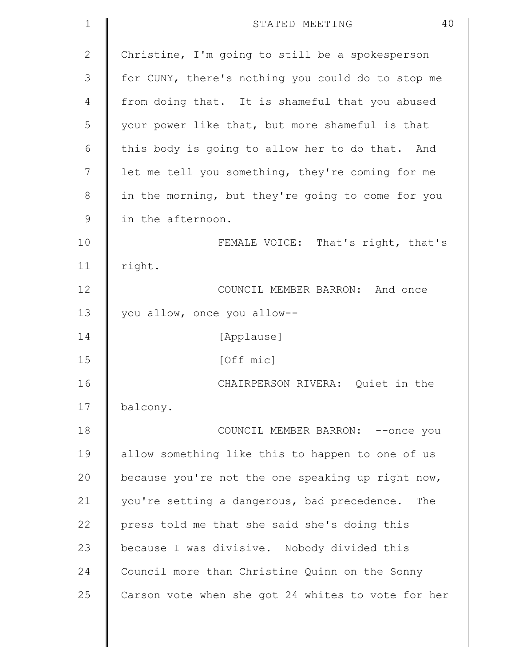| $\mathbf 1$  | 40<br>STATED MEETING                               |
|--------------|----------------------------------------------------|
| $\mathbf{2}$ | Christine, I'm going to still be a spokesperson    |
| 3            | for CUNY, there's nothing you could do to stop me  |
| 4            | from doing that. It is shameful that you abused    |
| 5            | your power like that, but more shameful is that    |
| 6            | this body is going to allow her to do that. And    |
| 7            | let me tell you something, they're coming for me   |
| $8\,$        | in the morning, but they're going to come for you  |
| $\mathsf 9$  | in the afternoon.                                  |
| 10           | FEMALE VOICE: That's right, that's                 |
| 11           | right.                                             |
| 12           | COUNCIL MEMBER BARRON: And once                    |
| 13           | you allow, once you allow--                        |
| 14           | [Applause]                                         |
| 15           | [Off mic]                                          |
| 16           | CHAIRPERSON RIVERA: Quiet in the                   |
| 17           | balcony.                                           |
| 18           | COUNCIL MEMBER BARRON: -- once you                 |
| 19           | allow something like this to happen to one of us   |
| 20           | because you're not the one speaking up right now,  |
| 21           | you're setting a dangerous, bad precedence.<br>The |
| 22           | press told me that she said she's doing this       |
| 23           | because I was divisive. Nobody divided this        |
| 24           | Council more than Christine Quinn on the Sonny     |
| 25           | Carson vote when she got 24 whites to vote for her |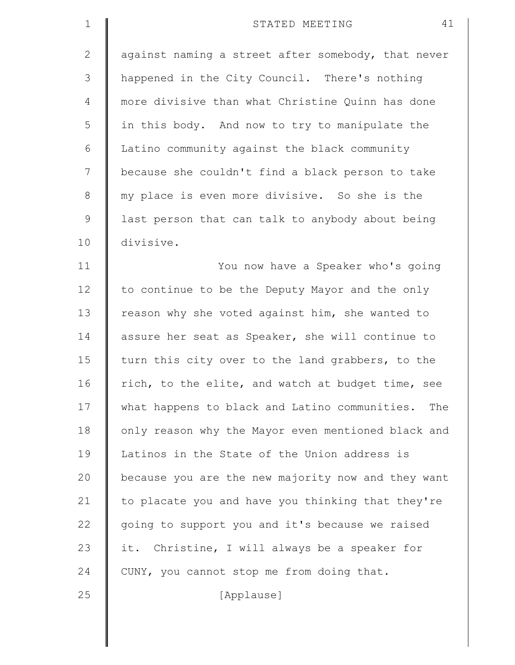| $\mathbf 1$    | 41<br>STATED MEETING                               |
|----------------|----------------------------------------------------|
| $\overline{2}$ | against naming a street after somebody, that never |
| 3              | happened in the City Council. There's nothing      |
| 4              | more divisive than what Christine Quinn has done   |
| 5              | in this body. And now to try to manipulate the     |
| 6              | Latino community against the black community       |
| 7              | because she couldn't find a black person to take   |
| $\,8\,$        | my place is even more divisive. So she is the      |
| $\mathcal{G}$  | last person that can talk to anybody about being   |
| 10             | divisive.                                          |
| 11             | You now have a Speaker who's going                 |
| 12             | to continue to be the Deputy Mayor and the only    |
| 13             | reason why she voted against him, she wanted to    |
| 14             | assure her seat as Speaker, she will continue to   |
| 15             | turn this city over to the land grabbers, to the   |
| 16             | rich, to the elite, and watch at budget time, see  |
| 17             | what happens to black and Latino communities. The  |
| 18             | only reason why the Mayor even mentioned black and |
| 19             | Latinos in the State of the Union address is       |
| 20             | because you are the new majority now and they want |
| 21             | to placate you and have you thinking that they're  |
| 22             | going to support you and it's because we raised    |
| 23             | it. Christine, I will always be a speaker for      |
| 24             | CUNY, you cannot stop me from doing that.          |
| 25             | [Applause]                                         |
|                |                                                    |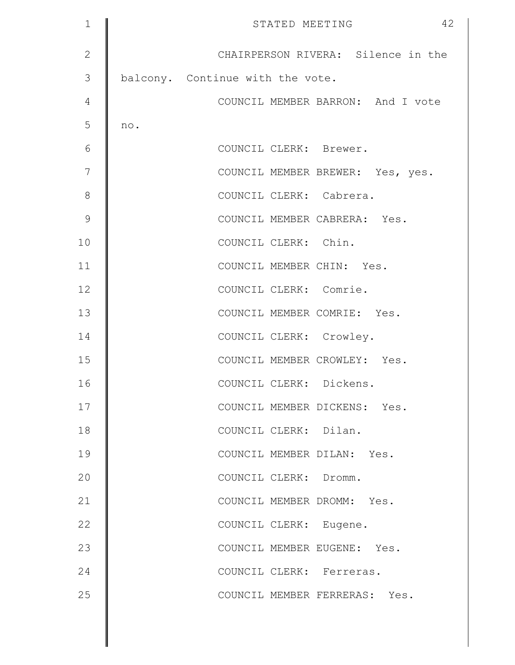| $\mathbf 1$    | 42<br>STATED MEETING               |
|----------------|------------------------------------|
| $\mathbf{2}$   | CHAIRPERSON RIVERA: Silence in the |
| 3              | balcony. Continue with the vote.   |
| $\overline{4}$ | COUNCIL MEMBER BARRON: And I vote  |
| 5              | no.                                |
| 6              | COUNCIL CLERK: Brewer.             |
| 7              | COUNCIL MEMBER BREWER: Yes, yes.   |
| $8\,$          | COUNCIL CLERK: Cabrera.            |
| $\mathcal{G}$  | COUNCIL MEMBER CABRERA: Yes.       |
| 10             | COUNCIL CLERK: Chin.               |
| 11             | COUNCIL MEMBER CHIN: Yes.          |
| 12             | COUNCIL CLERK: Comrie.             |
| 13             | COUNCIL MEMBER COMRIE: Yes.        |
| 14             | COUNCIL CLERK: Crowley.            |
| 15             | COUNCIL MEMBER CROWLEY: Yes.       |
| 16             | COUNCIL CLERK: Dickens.            |
| 17             | COUNCIL MEMBER DICKENS: Yes.       |
| 18             | COUNCIL CLERK: Dilan.              |
| 19             | COUNCIL MEMBER DILAN: Yes.         |
| 20             | COUNCIL CLERK: Dromm.              |
| 21             | COUNCIL MEMBER DROMM: Yes.         |
| 22             | COUNCIL CLERK: Eugene.             |
| 23             | COUNCIL MEMBER EUGENE: Yes.        |
| 24             | COUNCIL CLERK: Ferreras.           |
| 25             | COUNCIL MEMBER FERRERAS: Yes.      |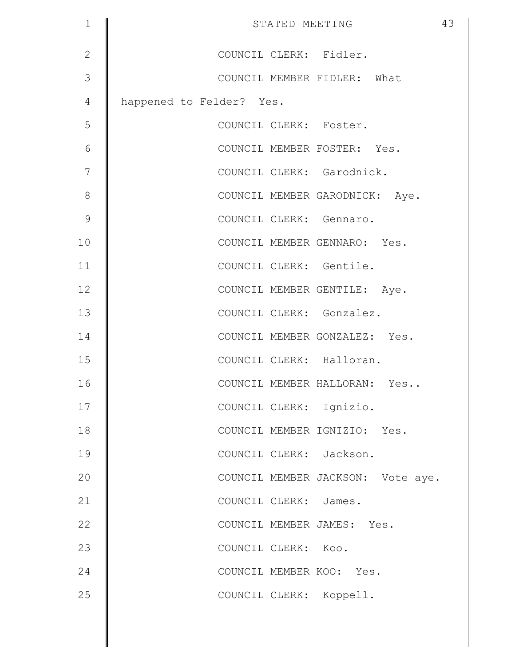| $\mathbf 1$   | STATED MEETING                    | 43 |
|---------------|-----------------------------------|----|
| $\mathbf{2}$  | COUNCIL CLERK: Fidler.            |    |
| 3             | COUNCIL MEMBER FIDLER: What       |    |
| 4             | happened to Felder? Yes.          |    |
| 5             | COUNCIL CLERK: Foster.            |    |
| 6             | COUNCIL MEMBER FOSTER: Yes.       |    |
| 7             | COUNCIL CLERK: Garodnick.         |    |
| 8             | COUNCIL MEMBER GARODNICK: Aye.    |    |
| $\mathcal{G}$ | COUNCIL CLERK: Gennaro.           |    |
| 10            | COUNCIL MEMBER GENNARO: Yes.      |    |
| 11            | COUNCIL CLERK: Gentile.           |    |
| 12            | COUNCIL MEMBER GENTILE: Aye.      |    |
| 13            | COUNCIL CLERK: Gonzalez.          |    |
| 14            | COUNCIL MEMBER GONZALEZ: Yes.     |    |
| 15            | COUNCIL CLERK: Halloran.          |    |
| 16            | COUNCIL MEMBER HALLORAN: Yes      |    |
| 17            | COUNCIL CLERK: Ignizio.           |    |
| 18            | COUNCIL MEMBER IGNIZIO: Yes.      |    |
| 19            | COUNCIL CLERK: Jackson.           |    |
| 20            | COUNCIL MEMBER JACKSON: Vote aye. |    |
| 21            | COUNCIL CLERK: James.             |    |
| 22            | COUNCIL MEMBER JAMES: Yes.        |    |
| 23            | COUNCIL CLERK: Koo.               |    |
| 24            | COUNCIL MEMBER KOO: Yes.          |    |
| 25            | COUNCIL CLERK: Koppell.           |    |
|               |                                   |    |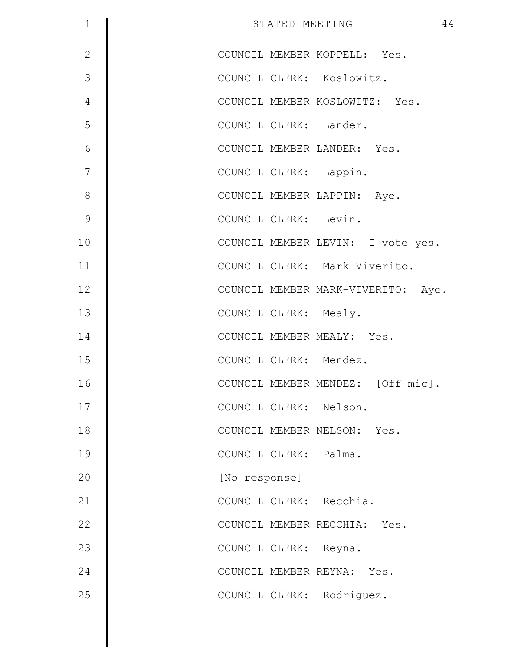| $\mathbf 1$   | 44<br>STATED MEETING               |
|---------------|------------------------------------|
| $\mathbf{2}$  | COUNCIL MEMBER KOPPELL: Yes.       |
| 3             | COUNCIL CLERK: Koslowitz.          |
| 4             | COUNCIL MEMBER KOSLOWITZ: Yes.     |
| 5             | COUNCIL CLERK: Lander.             |
| $\epsilon$    | COUNCIL MEMBER LANDER: Yes.        |
| 7             | COUNCIL CLERK: Lappin.             |
| 8             | COUNCIL MEMBER LAPPIN: Aye.        |
| $\mathcal{G}$ | COUNCIL CLERK: Levin.              |
| 10            | COUNCIL MEMBER LEVIN: I vote yes.  |
| 11            | COUNCIL CLERK: Mark-Viverito.      |
| 12            | COUNCIL MEMBER MARK-VIVERITO: Aye. |
| 13            | COUNCIL CLERK: Mealy.              |
| 14            | COUNCIL MEMBER MEALY: Yes.         |
| 15            | COUNCIL CLERK: Mendez.             |
| 16            | COUNCIL MEMBER MENDEZ: [Off mic].  |
| 17            | COUNCIL CLERK: Nelson.             |
| 18            | COUNCIL MEMBER NELSON: Yes.        |
| 19            | COUNCIL CLERK: Palma.              |
| 20            | [No response]                      |
| 21            | COUNCIL CLERK: Recchia.            |
| 22            | COUNCIL MEMBER RECCHIA: Yes.       |
| 23            | COUNCIL CLERK: Reyna.              |
| 24            | COUNCIL MEMBER REYNA: Yes.         |
| 25            | COUNCIL CLERK: Rodriguez.          |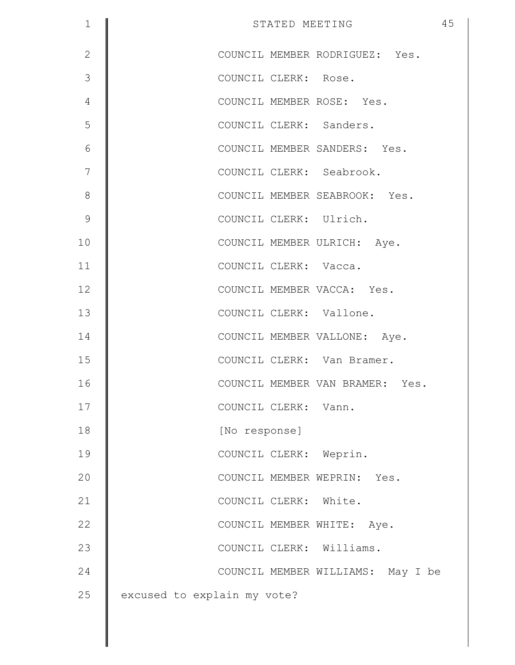| $\mathbf 1$    | 45<br>STATED MEETING              |
|----------------|-----------------------------------|
| $\mathbf{2}$   | COUNCIL MEMBER RODRIGUEZ: Yes.    |
| 3              | COUNCIL CLERK: Rose.              |
| $\overline{4}$ | COUNCIL MEMBER ROSE: Yes.         |
| 5              | COUNCIL CLERK: Sanders.           |
| 6              | COUNCIL MEMBER SANDERS: Yes.      |
| 7              | COUNCIL CLERK: Seabrook.          |
| 8              | COUNCIL MEMBER SEABROOK: Yes.     |
| $\mathcal{G}$  | COUNCIL CLERK: Ulrich.            |
| 10             | COUNCIL MEMBER ULRICH: Aye.       |
| 11             | COUNCIL CLERK: Vacca.             |
| 12             | COUNCIL MEMBER VACCA: Yes.        |
| 13             | COUNCIL CLERK: Vallone.           |
| 14             | COUNCIL MEMBER VALLONE: Aye.      |
| 15             | COUNCIL CLERK: Van Bramer.        |
| 16             | COUNCIL MEMBER VAN BRAMER: Yes.   |
| 17             | COUNCIL CLERK: Vann.              |
| 18             | [No response]                     |
| 19             | COUNCIL CLERK: Weprin.            |
| 20             | COUNCIL MEMBER WEPRIN: Yes.       |
| 21             | COUNCIL CLERK: White.             |
| 22             | COUNCIL MEMBER WHITE: Aye.        |
| 23             | COUNCIL CLERK: Williams.          |
| 24             | COUNCIL MEMBER WILLIAMS: May I be |
| 25             | excused to explain my vote?       |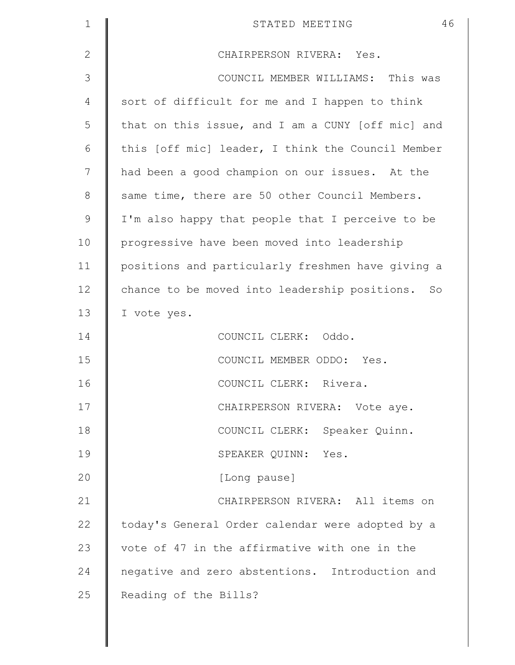| $\mathbf{1}$  | 46<br>STATED MEETING                              |
|---------------|---------------------------------------------------|
| $\mathbf{2}$  | CHAIRPERSON RIVERA: Yes.                          |
| 3             | COUNCIL MEMBER WILLIAMS: This was                 |
| 4             | sort of difficult for me and I happen to think    |
| 5             | that on this issue, and I am a CUNY [off mic] and |
| 6             | this [off mic] leader, I think the Council Member |
| 7             | had been a good champion on our issues. At the    |
| 8             | same time, there are 50 other Council Members.    |
| $\mathcal{G}$ | I'm also happy that people that I perceive to be  |
| 10            | progressive have been moved into leadership       |
| 11            | positions and particularly freshmen have giving a |
| 12            | chance to be moved into leadership positions. So  |
| 13            | I vote yes.                                       |
| 14            | COUNCIL CLERK: Oddo.                              |
| 15            | COUNCIL MEMBER ODDO: Yes.                         |
| 16            | COUNCIL CLERK: Rivera.                            |
| 17            | CHAIRPERSON RIVERA: Vote aye.                     |
| 18            | COUNCIL CLERK: Speaker Quinn.                     |
| 19            | SPEAKER QUINN: Yes.                               |
| 20            | [Long pause]                                      |
| 21            | CHAIRPERSON RIVERA: All items on                  |
| 22            | today's General Order calendar were adopted by a  |
| 23            | vote of 47 in the affirmative with one in the     |
| 24            | negative and zero abstentions. Introduction and   |
| 25            | Reading of the Bills?                             |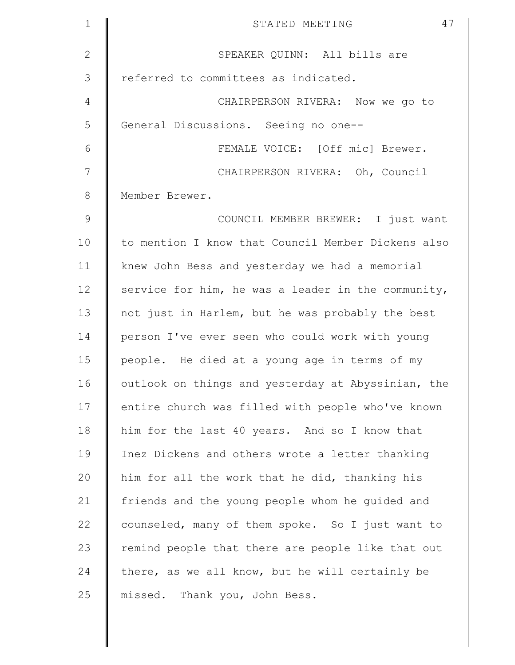| $\mathbf 1$   | 47<br>STATED MEETING                               |
|---------------|----------------------------------------------------|
| $\mathbf{2}$  | SPEAKER QUINN: All bills are                       |
| 3             | referred to committees as indicated.               |
| 4             | CHAIRPERSON RIVERA: Now we go to                   |
| 5             | General Discussions. Seeing no one--               |
| 6             | FEMALE VOICE: [Off mic] Brewer.                    |
| 7             | CHAIRPERSON RIVERA: Oh, Council                    |
| $8\,$         | Member Brewer.                                     |
| $\mathcal{G}$ | COUNCIL MEMBER BREWER: I just want                 |
| 10            | to mention I know that Council Member Dickens also |
| 11            | knew John Bess and yesterday we had a memorial     |
| 12            | service for him, he was a leader in the community, |
| 13            | not just in Harlem, but he was probably the best   |
| 14            | person I've ever seen who could work with young    |
| 15            | people. He died at a young age in terms of my      |
| 16            | outlook on things and yesterday at Abyssinian, the |
| 17            | entire church was filled with people who've known  |
| 18            | him for the last 40 years. And so I know that      |
| 19            | Inez Dickens and others wrote a letter thanking    |
| 20            | him for all the work that he did, thanking his     |
| 21            | friends and the young people whom he guided and    |
| 22            | counseled, many of them spoke. So I just want to   |
| 23            | remind people that there are people like that out  |
| 24            | there, as we all know, but he will certainly be    |
| 25            | missed. Thank you, John Bess.                      |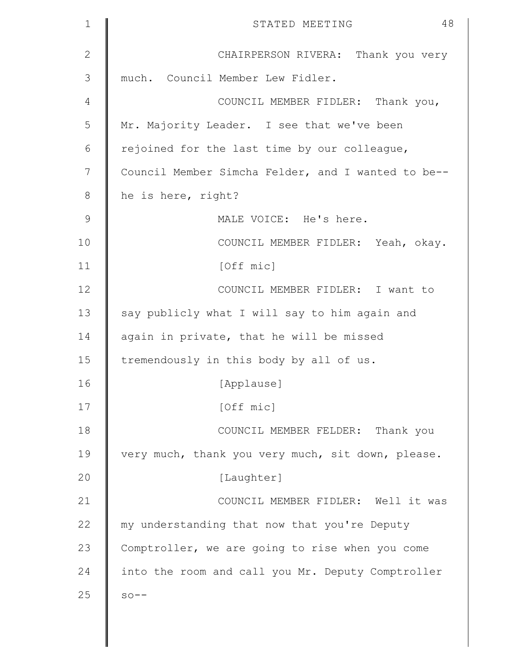| $\mathbf{1}$ | 48<br>STATED MEETING                               |
|--------------|----------------------------------------------------|
| $\mathbf{2}$ | CHAIRPERSON RIVERA: Thank you very                 |
| 3            | much. Council Member Lew Fidler.                   |
| 4            | COUNCIL MEMBER FIDLER: Thank you,                  |
| 5            | Mr. Majority Leader. I see that we've been         |
| 6            | rejoined for the last time by our colleague,       |
| 7            | Council Member Simcha Felder, and I wanted to be-- |
| $8\,$        | he is here, right?                                 |
| $\mathsf 9$  | MALE VOICE: He's here.                             |
| 10           | COUNCIL MEMBER FIDLER: Yeah, okay.                 |
| 11           | [Off mic]                                          |
| 12           | COUNCIL MEMBER FIDLER: I want to                   |
| 13           | say publicly what I will say to him again and      |
| 14           | again in private, that he will be missed           |
| 15           | tremendously in this body by all of us.            |
| 16           | [Applause]                                         |
| 17           | [Off mic]                                          |
| 18           | COUNCIL MEMBER FELDER: Thank you                   |
| 19           | very much, thank you very much, sit down, please.  |
| 20           | [Laughter]                                         |
| 21           | COUNCIL MEMBER FIDLER: Well it was                 |
| 22           | my understanding that now that you're Deputy       |
| 23           | Comptroller, we are going to rise when you come    |
| 24           | into the room and call you Mr. Deputy Comptroller  |
| 25           | $SO - -$                                           |
|              |                                                    |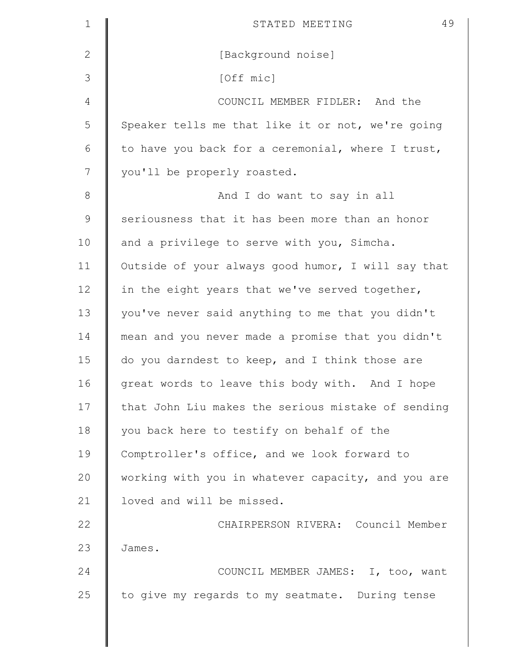| $\mathbf 1$  | 49<br>STATED MEETING                               |
|--------------|----------------------------------------------------|
| $\mathbf{2}$ | [Background noise]                                 |
| 3            | [Off mic]                                          |
| 4            | COUNCIL MEMBER FIDLER: And the                     |
| 5            | Speaker tells me that like it or not, we're going  |
| 6            | to have you back for a ceremonial, where I trust,  |
| 7            | you'll be properly roasted.                        |
| $\,8\,$      | And I do want to say in all                        |
| $\mathsf 9$  | seriousness that it has been more than an honor    |
| 10           | and a privilege to serve with you, Simcha.         |
| 11           | Outside of your always good humor, I will say that |
| 12           | in the eight years that we've served together,     |
| 13           | you've never said anything to me that you didn't   |
| 14           | mean and you never made a promise that you didn't  |
| 15           | do you darndest to keep, and I think those are     |
| 16           | great words to leave this body with. And I hope    |
| 17           | that John Liu makes the serious mistake of sending |
| 18           | you back here to testify on behalf of the          |
| 19           | Comptroller's office, and we look forward to       |
| 20           | working with you in whatever capacity, and you are |
| 21           | loved and will be missed.                          |
| 22           | CHAIRPERSON RIVERA: Council Member                 |
| 23           | James.                                             |
| 24           | COUNCIL MEMBER JAMES: I, too, want                 |
| 25           | to give my regards to my seatmate. During tense    |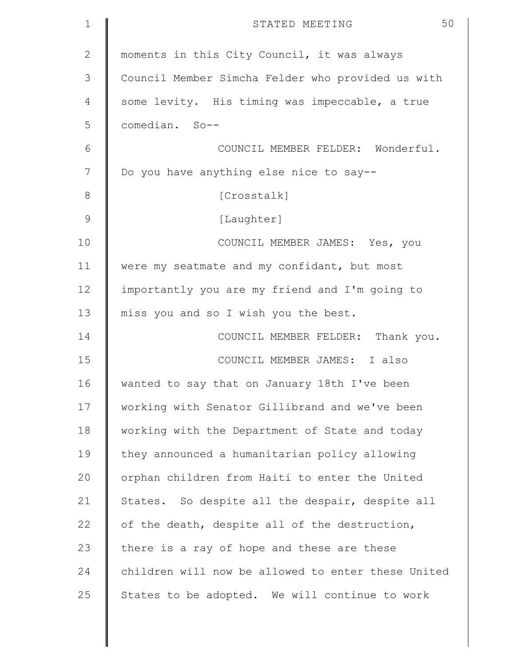| $\mathbf 1$  | 50<br>STATED MEETING                               |
|--------------|----------------------------------------------------|
| $\mathbf{2}$ | moments in this City Council, it was always        |
| 3            | Council Member Simcha Felder who provided us with  |
| 4            | some levity. His timing was impeccable, a true     |
| 5            | comedian. So--                                     |
| 6            | COUNCIL MEMBER FELDER: Wonderful.                  |
| 7            | Do you have anything else nice to say--            |
| 8            | [Crosstalk]                                        |
| $\mathsf 9$  | [Laughter]                                         |
| 10           | COUNCIL MEMBER JAMES: Yes, you                     |
| 11           | were my seatmate and my confidant, but most        |
| 12           | importantly you are my friend and I'm going to     |
| 13           | miss you and so I wish you the best.               |
| 14           | COUNCIL MEMBER FELDER: Thank you.                  |
| 15           | COUNCIL MEMBER JAMES: I also                       |
| 16           | wanted to say that on January 18th I've been       |
| 17           | working with Senator Gillibrand and we've been     |
| 18           | working with the Department of State and today     |
| 19           | they announced a humanitarian policy allowing      |
| 20           | orphan children from Haiti to enter the United     |
| 21           | States. So despite all the despair, despite all    |
| 22           | of the death, despite all of the destruction,      |
| 23           | there is a ray of hope and these are these         |
| 24           | children will now be allowed to enter these United |
| 25           | States to be adopted. We will continue to work     |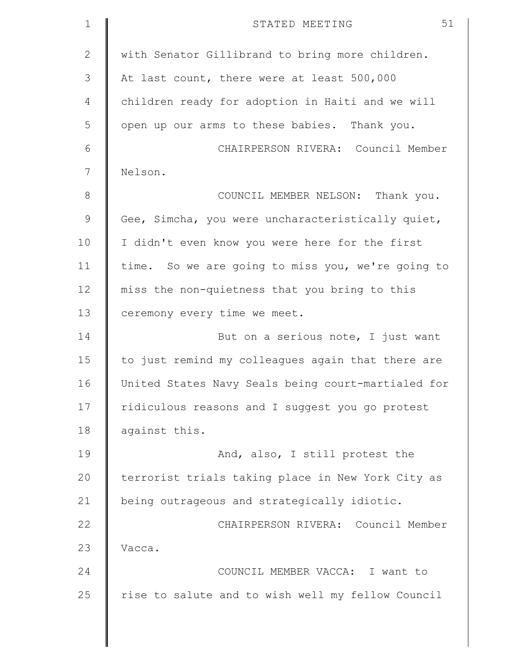| $\mathbf 1$  | 51<br>STATED MEETING                               |
|--------------|----------------------------------------------------|
| $\mathbf{2}$ | with Senator Gillibrand to bring more children.    |
| 3            | At last count, there were at least 500,000         |
| 4            | children ready for adoption in Haiti and we will   |
| 5            | open up our arms to these babies. Thank you.       |
| 6            | CHAIRPERSON RIVERA: Council Member                 |
| 7            | Nelson.                                            |
| $\,8\,$      | COUNCIL MEMBER NELSON: Thank you.                  |
| $\mathsf 9$  | Gee, Simcha, you were uncharacteristically quiet,  |
| 10           | I didn't even know you were here for the first     |
| 11           | time. So we are going to miss you, we're going to  |
| 12           | miss the non-quietness that you bring to this      |
| 13           | ceremony every time we meet.                       |
| 14           | But on a serious note, I just want                 |
| 15           | to just remind my colleagues again that there are  |
| 16           | United States Navy Seals being court-martialed for |
| 17           | ridiculous reasons and I suggest you go protest    |
| 18           | against this.                                      |
| 19           | And, also, I still protest the                     |
| 20           | terrorist trials taking place in New York City as  |
| 21           | being outrageous and strategically idiotic.        |
| 22           | CHAIRPERSON RIVERA: Council Member                 |
| 23           | Vacca.                                             |
| 24           | COUNCIL MEMBER VACCA: I want to                    |
| 25           | rise to salute and to wish well my fellow Council  |
|              |                                                    |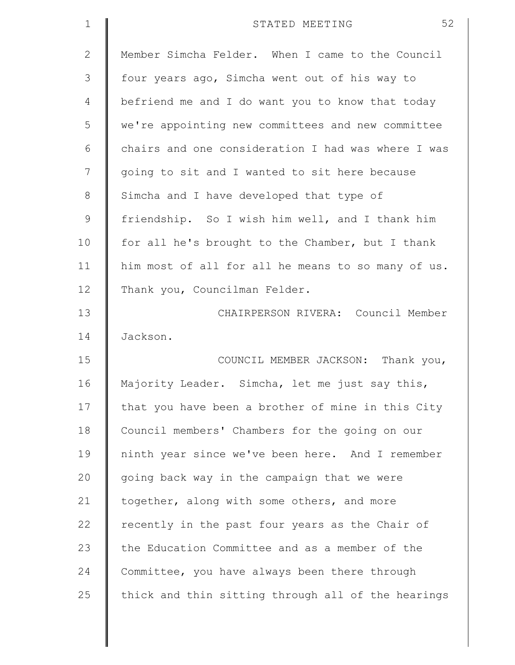| $\mathbf 1$    | 52<br>STATED MEETING                               |
|----------------|----------------------------------------------------|
| $\mathbf{2}$   | Member Simcha Felder. When I came to the Council   |
| 3              | four years ago, Simcha went out of his way to      |
| $\overline{4}$ | befriend me and I do want you to know that today   |
| 5              | we're appointing new committees and new committee  |
| 6              | chairs and one consideration I had was where I was |
| 7              | going to sit and I wanted to sit here because      |
| 8              | Simcha and I have developed that type of           |
| $\mathcal{G}$  | friendship. So I wish him well, and I thank him    |
| 10             | for all he's brought to the Chamber, but I thank   |
| 11             | him most of all for all he means to so many of us. |
| 12             | Thank you, Councilman Felder.                      |
| 13             | CHAIRPERSON RIVERA: Council Member                 |
| 14             | Jackson.                                           |
| 15             | COUNCIL MEMBER JACKSON: Thank you,                 |
| 16             | Majority Leader. Simcha, let me just say this,     |
| 17             | that you have been a brother of mine in this City  |
| 18             | Council members' Chambers for the going on our     |
| 19             | ninth year since we've been here. And I remember   |
| 20             | going back way in the campaign that we were        |
| 21             | together, along with some others, and more         |
| 22             | recently in the past four years as the Chair of    |
| 23             | the Education Committee and as a member of the     |
| 24             | Committee, you have always been there through      |
| 25             | thick and thin sitting through all of the hearings |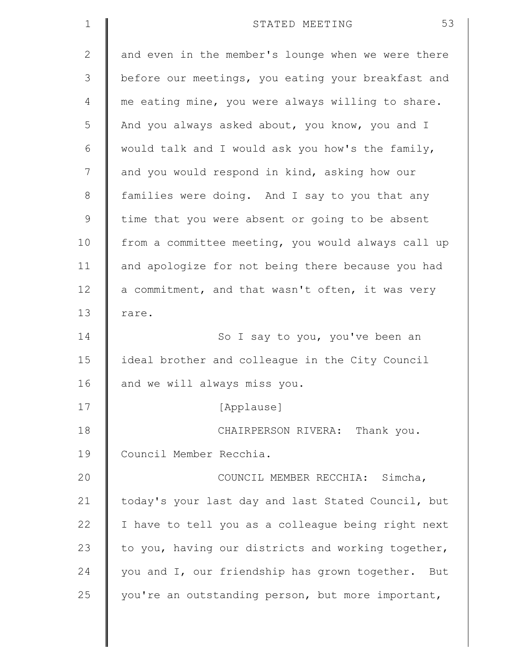| $\mathbf 1$  | 53<br>STATED MEETING                               |
|--------------|----------------------------------------------------|
| $\mathbf{2}$ | and even in the member's lounge when we were there |
| 3            | before our meetings, you eating your breakfast and |
| 4            | me eating mine, you were always willing to share.  |
| 5            | And you always asked about, you know, you and I    |
| 6            | would talk and I would ask you how's the family,   |
| 7            | and you would respond in kind, asking how our      |
| $8\,$        | families were doing. And I say to you that any     |
| $\mathsf 9$  | time that you were absent or going to be absent    |
| 10           | from a committee meeting, you would always call up |
| 11           | and apologize for not being there because you had  |
| 12           | a commitment, and that wasn't often, it was very   |
| 13           | rare.                                              |
| 14           | So I say to you, you've been an                    |
| 15           | ideal brother and colleague in the City Council    |
| 16           | and we will always miss you.                       |
| 17           | [Applause]                                         |
| 18           | CHAIRPERSON RIVERA: Thank you.                     |
| 19           | Council Member Recchia.                            |
| 20           | COUNCIL MEMBER RECCHIA: Simcha,                    |
| 21           | today's your last day and last Stated Council, but |
| 22           | I have to tell you as a colleague being right next |
| 23           | to you, having our districts and working together, |
| 24           | you and I, our friendship has grown together. But  |
| 25           | you're an outstanding person, but more important,  |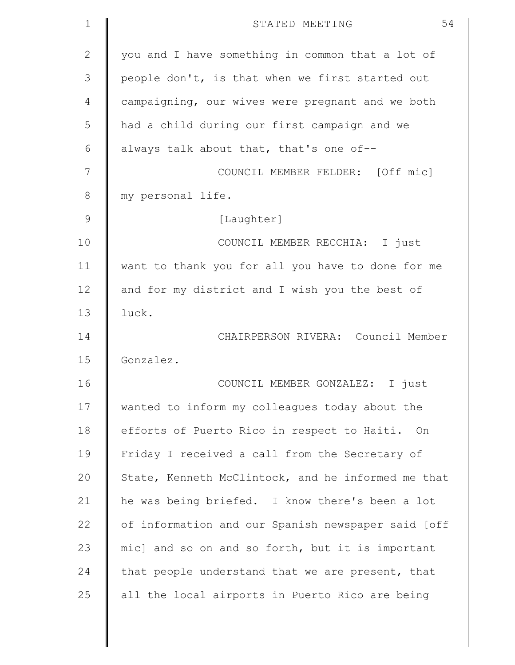| $\mathbf 1$   | 54<br>STATED MEETING                               |
|---------------|----------------------------------------------------|
| $\mathbf{2}$  | you and I have something in common that a lot of   |
| 3             | people don't, is that when we first started out    |
| 4             | campaigning, our wives were pregnant and we both   |
| 5             | had a child during our first campaign and we       |
| 6             | always talk about that, that's one of--            |
| 7             | COUNCIL MEMBER FELDER: [Off mic]                   |
| 8             | my personal life.                                  |
| $\mathcal{G}$ | [Laughter]                                         |
| 10            | COUNCIL MEMBER RECCHIA: I just                     |
| 11            | want to thank you for all you have to done for me  |
| 12            | and for my district and I wish you the best of     |
| 13            | luck.                                              |
| 14            | CHAIRPERSON RIVERA: Council Member                 |
| 15            | Gonzalez.                                          |
| 16            | COUNCIL MEMBER GONZALEZ: I just                    |
| 17            | wanted to inform my colleagues today about the     |
| 18            | efforts of Puerto Rico in respect to Haiti. On     |
| 19            | Friday I received a call from the Secretary of     |
| 20            | State, Kenneth McClintock, and he informed me that |
| 21            | he was being briefed. I know there's been a lot    |
| 22            | of information and our Spanish newspaper said [off |
| 23            | mic] and so on and so forth, but it is important   |
| 24            | that people understand that we are present, that   |
| 25            | all the local airports in Puerto Rico are being    |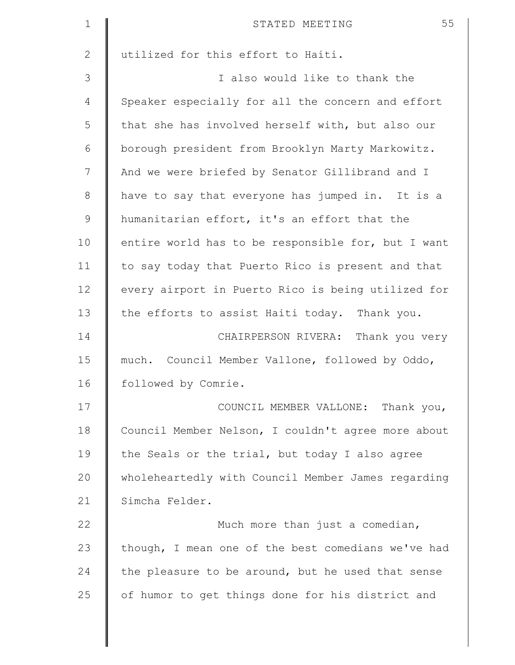| $\mathbf 1$    | 55<br>STATED MEETING                               |
|----------------|----------------------------------------------------|
| $\mathbf{2}$   | utilized for this effort to Haiti.                 |
| 3              | I also would like to thank the                     |
| $\overline{4}$ | Speaker especially for all the concern and effort  |
| 5              | that she has involved herself with, but also our   |
| 6              | borough president from Brooklyn Marty Markowitz.   |
| 7              | And we were briefed by Senator Gillibrand and I    |
| $8\,$          | have to say that everyone has jumped in. It is a   |
| $\mathcal{G}$  | humanitarian effort, it's an effort that the       |
| 10             | entire world has to be responsible for, but I want |
| 11             | to say today that Puerto Rico is present and that  |
| 12             | every airport in Puerto Rico is being utilized for |
| 13             | the efforts to assist Haiti today. Thank you.      |
| 14             | CHAIRPERSON RIVERA: Thank you very                 |
| 15             | much. Council Member Vallone, followed by Oddo,    |
| 16             | followed by Comrie.                                |
| 17             | COUNCIL MEMBER VALLONE: Thank you,                 |
| 18             | Council Member Nelson, I couldn't agree more about |
| 19             | the Seals or the trial, but today I also agree     |
| 20             | wholeheartedly with Council Member James regarding |
| 21             | Simcha Felder.                                     |
| 22             | Much more than just a comedian,                    |
| 23             | though, I mean one of the best comedians we've had |
| 24             | the pleasure to be around, but he used that sense  |
| 25             | of humor to get things done for his district and   |
|                |                                                    |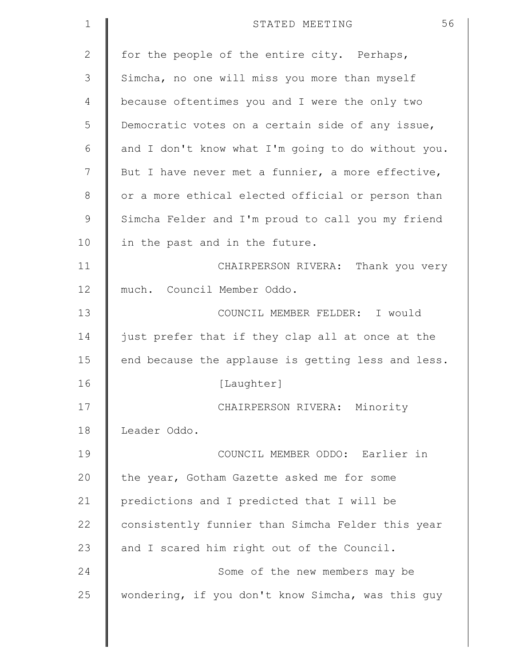| $\mathbf 1$ | 56<br>STATED MEETING                               |
|-------------|----------------------------------------------------|
| 2           | for the people of the entire city. Perhaps,        |
| 3           | Simcha, no one will miss you more than myself      |
| 4           | because oftentimes you and I were the only two     |
| 5           | Democratic votes on a certain side of any issue,   |
| 6           | and I don't know what I'm going to do without you. |
| 7           | But I have never met a funnier, a more effective,  |
| 8           | or a more ethical elected official or person than  |
| $\mathsf 9$ | Simcha Felder and I'm proud to call you my friend  |
| 10          | in the past and in the future.                     |
| 11          | CHAIRPERSON RIVERA: Thank you very                 |
| 12          | much. Council Member Oddo.                         |
| 13          | COUNCIL MEMBER FELDER: I would                     |
| 14          | just prefer that if they clap all at once at the   |
| 15          | end because the applause is getting less and less. |
| 16          | [Laughter]                                         |
| 17          | CHAIRPERSON RIVERA: Minority                       |
| 18          | Leader Oddo.                                       |
| 19          | COUNCIL MEMBER ODDO: Earlier in                    |
| 20          | the year, Gotham Gazette asked me for some         |
| 21          | predictions and I predicted that I will be         |
| 22          | consistently funnier than Simcha Felder this year  |
| 23          | and I scared him right out of the Council.         |
| 24          | Some of the new members may be                     |
| 25          | wondering, if you don't know Simcha, was this guy  |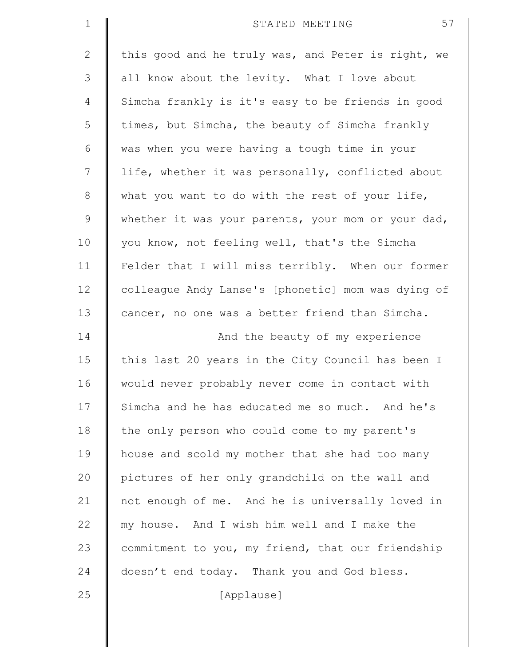| $\mathbf 1$  | 57<br>STATED MEETING                               |
|--------------|----------------------------------------------------|
| $\mathbf{2}$ | this good and he truly was, and Peter is right, we |
| 3            | all know about the levity. What I love about       |
| 4            | Simcha frankly is it's easy to be friends in good  |
| 5            | times, but Simcha, the beauty of Simcha frankly    |
| 6            | was when you were having a tough time in your      |
| 7            | life, whether it was personally, conflicted about  |
| $\,8\,$      | what you want to do with the rest of your life,    |
| $\mathsf 9$  | whether it was your parents, your mom or your dad, |
| 10           | you know, not feeling well, that's the Simcha      |
| 11           | Felder that I will miss terribly. When our former  |
| 12           | colleague Andy Lanse's [phonetic] mom was dying of |
| 13           | cancer, no one was a better friend than Simcha.    |
| 14           | And the beauty of my experience                    |
| 15           | this last 20 years in the City Council has been I  |
| 16           | would never probably never come in contact with    |
| 17           | Simcha and he has educated me so much. And he's    |
| 18           | the only person who could come to my parent's      |
| 19           | house and scold my mother that she had too many    |
| 20           | pictures of her only grandchild on the wall and    |
| 21           | not enough of me. And he is universally loved in   |
| 22           | my house. And I wish him well and I make the       |
| 23           | commitment to you, my friend, that our friendship  |
| 24           | doesn't end today. Thank you and God bless.        |
| 25           | [Applause]                                         |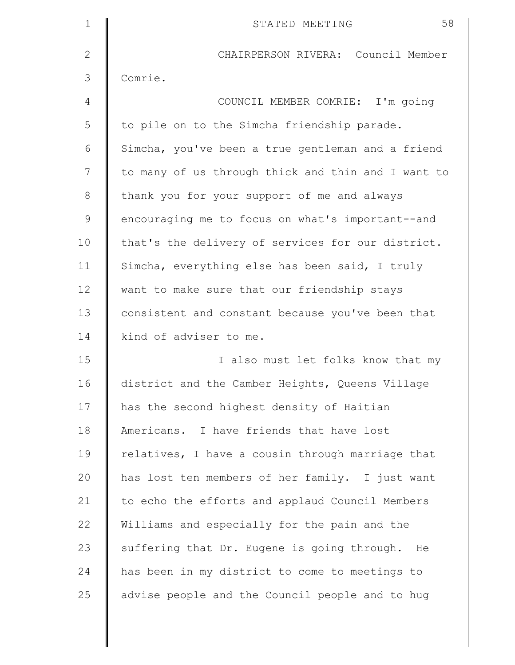| $\mathbf 1$   | 58<br>STATED MEETING                               |
|---------------|----------------------------------------------------|
| $\mathbf{2}$  | CHAIRPERSON RIVERA: Council Member                 |
| 3             | Comrie.                                            |
| 4             | COUNCIL MEMBER COMRIE: I'm going                   |
| 5             | to pile on to the Simcha friendship parade.        |
| 6             | Simcha, you've been a true gentleman and a friend  |
| 7             | to many of us through thick and thin and I want to |
| 8             | thank you for your support of me and always        |
| $\mathcal{G}$ | encouraging me to focus on what's important--and   |
| 10            | that's the delivery of services for our district.  |
| 11            | Simcha, everything else has been said, I truly     |
| 12            | want to make sure that our friendship stays        |
| 13            | consistent and constant because you've been that   |
| 14            | kind of adviser to me.                             |
| 15            | I also must let folks know that my                 |
| 16            | district and the Camber Heights, Queens Village    |
| 17            | has the second highest density of Haitian          |
| 18            | Americans. I have friends that have lost           |
| 19            | relatives, I have a cousin through marriage that   |
| 20            | has lost ten members of her family. I just want    |
| 21            | to echo the efforts and applaud Council Members    |
| 22            | Williams and especially for the pain and the       |
| 23            | suffering that Dr. Eugene is going through. He     |
| 24            | has been in my district to come to meetings to     |
| 25            | advise people and the Council people and to hug    |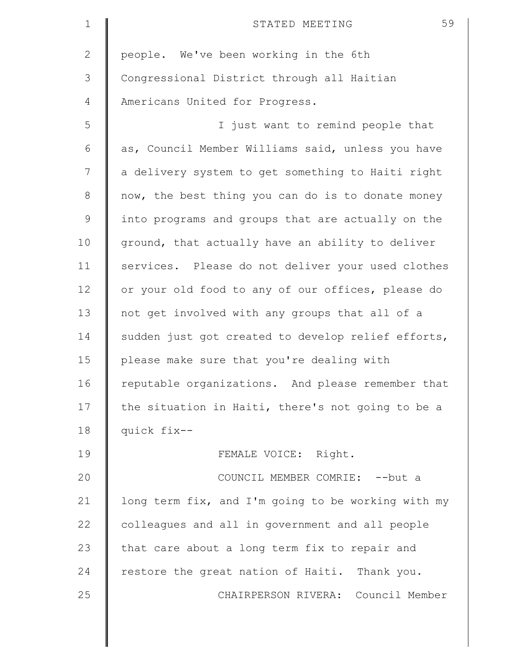| $\mathbf 1$    | 59<br>STATED MEETING                               |
|----------------|----------------------------------------------------|
| $\overline{2}$ | people. We've been working in the 6th              |
| 3              | Congressional District through all Haitian         |
| 4              | Americans United for Progress.                     |
| 5              | I just want to remind people that                  |
| 6              | as, Council Member Williams said, unless you have  |
| 7              | a delivery system to get something to Haiti right  |
| 8              | now, the best thing you can do is to donate money  |
| $\mathsf 9$    | into programs and groups that are actually on the  |
| 10             | ground, that actually have an ability to deliver   |
| 11             | services. Please do not deliver your used clothes  |
| 12             | or your old food to any of our offices, please do  |
| 13             | not get involved with any groups that all of a     |
| 14             | sudden just got created to develop relief efforts, |
| 15             | please make sure that you're dealing with          |
| 16             | reputable organizations. And please remember that  |
| 17             | the situation in Haiti, there's not going to be a  |
| 18             | quick fix--                                        |
| 19             | FEMALE VOICE: Right.                               |
| 20             | COUNCIL MEMBER COMRIE: -- but a                    |
| 21             | long term fix, and I'm going to be working with my |
| 22             | colleagues and all in government and all people    |
| 23             | that care about a long term fix to repair and      |
| 24             | restore the great nation of Haiti. Thank you.      |
| 25             | CHAIRPERSON RIVERA: Council Member                 |
|                |                                                    |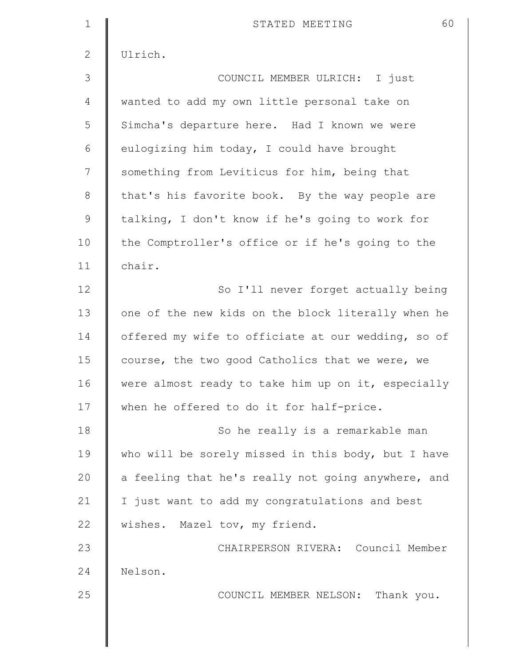| $\mathbf 1$  | 60<br>STATED MEETING                               |
|--------------|----------------------------------------------------|
| $\mathbf{2}$ | Ulrich.                                            |
| 3            | COUNCIL MEMBER ULRICH: I just                      |
| 4            | wanted to add my own little personal take on       |
| 5            | Simcha's departure here. Had I known we were       |
| 6            | eulogizing him today, I could have brought         |
| 7            | something from Leviticus for him, being that       |
| $\,8\,$      | that's his favorite book. By the way people are    |
| $\mathsf 9$  | talking, I don't know if he's going to work for    |
| 10           | the Comptroller's office or if he's going to the   |
| 11           | chair.                                             |
| 12           | So I'll never forget actually being                |
| 13           | one of the new kids on the block literally when he |
| 14           | offered my wife to officiate at our wedding, so of |
| 15           | course, the two good Catholics that we were, we    |
| 16           | were almost ready to take him up on it, especially |
| 17           | when he offered to do it for half-price.           |
| 18           | So he really is a remarkable man                   |
| 19           | who will be sorely missed in this body, but I have |
| 20           | a feeling that he's really not going anywhere, and |
| 21           | I just want to add my congratulations and best     |
| 22           | wishes. Mazel tov, my friend.                      |
| 23           | CHAIRPERSON RIVERA: Council Member                 |
| 24           | Nelson.                                            |
| 25           | COUNCIL MEMBER NELSON: Thank you.                  |
|              |                                                    |
|              |                                                    |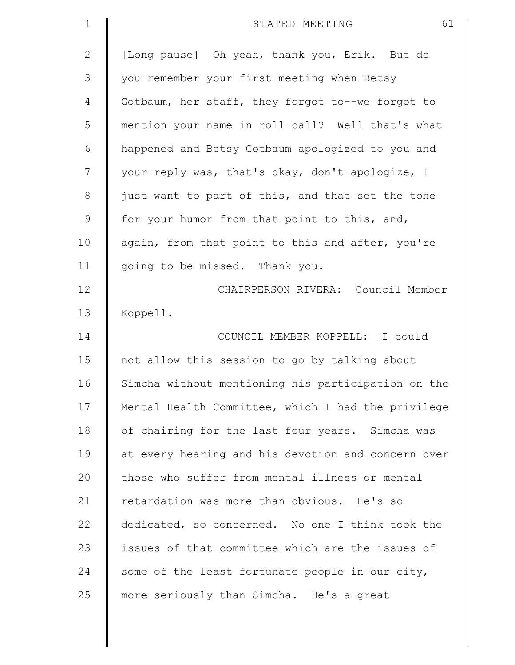| $\mathbf 1$   | 61<br>STATED MEETING                               |
|---------------|----------------------------------------------------|
| $\mathbf{2}$  | [Long pause] Oh yeah, thank you, Erik. But do      |
| 3             | you remember your first meeting when Betsy         |
| 4             | Gotbaum, her staff, they forgot to--we forgot to   |
| 5             | mention your name in roll call? Well that's what   |
| 6             | happened and Betsy Gotbaum apologized to you and   |
| 7             | your reply was, that's okay, don't apologize, I    |
| $\,8\,$       | just want to part of this, and that set the tone   |
| $\mathcal{G}$ | for your humor from that point to this, and,       |
| 10            | again, from that point to this and after, you're   |
| 11            | going to be missed. Thank you.                     |
| 12            | CHAIRPERSON RIVERA: Council Member                 |
| 13            | Koppell.                                           |
| 14            | COUNCIL MEMBER KOPPELL: I could                    |
| 15            | not allow this session to go by talking about      |
| 16            | Simcha without mentioning his participation on the |
| 17            | Mental Health Committee, which I had the privilege |
| 18            | of chairing for the last four years. Simcha was    |
| 19            | at every hearing and his devotion and concern over |
| 20            | those who suffer from mental illness or mental     |
| 21            | retardation was more than obvious. He's so         |
| 22            | dedicated, so concerned. No one I think took the   |
| 23            | issues of that committee which are the issues of   |
| 24            | some of the least fortunate people in our city,    |
| 25            | more seriously than Simcha. He's a great           |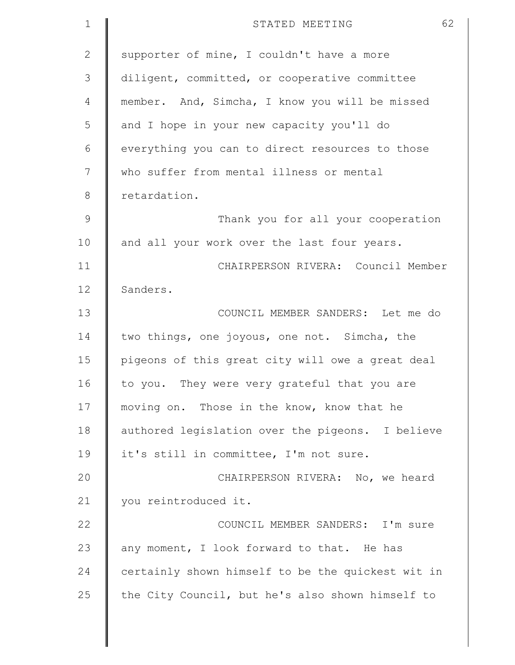| $\mathbf 1$   | 62<br>STATED MEETING                              |
|---------------|---------------------------------------------------|
| $\mathbf{2}$  | supporter of mine, I couldn't have a more         |
| 3             | diligent, committed, or cooperative committee     |
| 4             | member. And, Simcha, I know you will be missed    |
| 5             | and I hope in your new capacity you'll do         |
| 6             | everything you can to direct resources to those   |
| 7             | who suffer from mental illness or mental          |
| 8             | retardation.                                      |
| $\mathcal{G}$ | Thank you for all your cooperation                |
| 10            | and all your work over the last four years.       |
| 11            | CHAIRPERSON RIVERA: Council Member                |
| 12            | Sanders.                                          |
| 13            | COUNCIL MEMBER SANDERS: Let me do                 |
| 14            | two things, one joyous, one not. Simcha, the      |
| 15            | pigeons of this great city will owe a great deal  |
| 16            | to you. They were very grateful that you are      |
| 17            | moving on. Those in the know, know that he        |
| 18            | authored legislation over the pigeons. I believe  |
| 19            | it's still in committee, I'm not sure.            |
| 20            | CHAIRPERSON RIVERA: No, we heard                  |
| 21            | you reintroduced it.                              |
| 22            | COUNCIL MEMBER SANDERS: I'm sure                  |
| 23            | any moment, I look forward to that. He has        |
| 24            | certainly shown himself to be the quickest wit in |
| 25            | the City Council, but he's also shown himself to  |
|               |                                                   |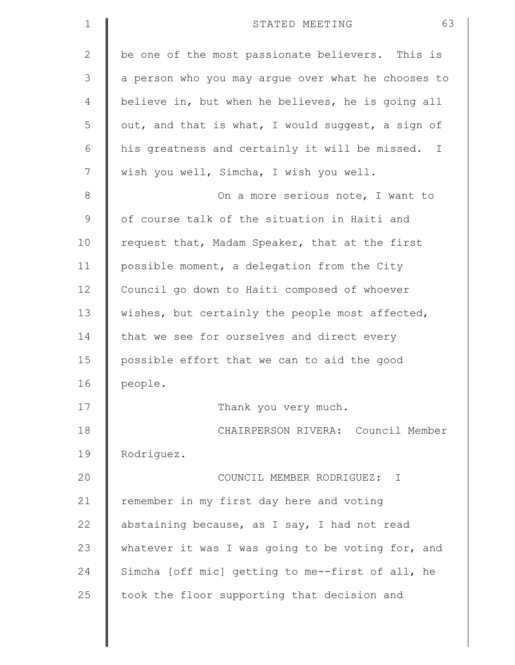| $\mathbf 1$ | 63<br>STATED MEETING                                           |
|-------------|----------------------------------------------------------------|
| 2           | be one of the most passionate believers. This is               |
| 3           | a person who you may argue over what he chooses to             |
| 4           | believe in, but when he believes, he is going all              |
| 5           | out, and that is what, I would suggest, a sign of              |
| 6           | his greatness and certainly it will be missed.<br>$\mathbb{I}$ |
| 7           | wish you well, Simcha, I wish you well.                        |
| 8           | On a more serious note, I want to                              |
| $\mathsf 9$ | of course talk of the situation in Haiti and                   |
| 10          | request that, Madam Speaker, that at the first                 |
| 11          | possible moment, a delegation from the City                    |
| 12          | Council go down to Haiti composed of whoever                   |
| 13          | wishes, but certainly the people most affected,                |
| 14          | that we see for ourselves and direct every                     |
| 15          | possible effort that we can to aid the good                    |
| 16          | people.                                                        |
| 17          | Thank you very much.                                           |
| 18          | CHAIRPERSON RIVERA: Council Member                             |
| 19          | Rodriguez.                                                     |
| 20          | COUNCIL MEMBER RODRIGUEZ: I                                    |
| 21          | remember in my first day here and voting                       |
| 22          | abstaining because, as I say, I had not read                   |
| 23          | whatever it was I was going to be voting for, and              |
| 24          | Simcha [off mic] getting to me--first of all, he               |
| 25          | took the floor supporting that decision and                    |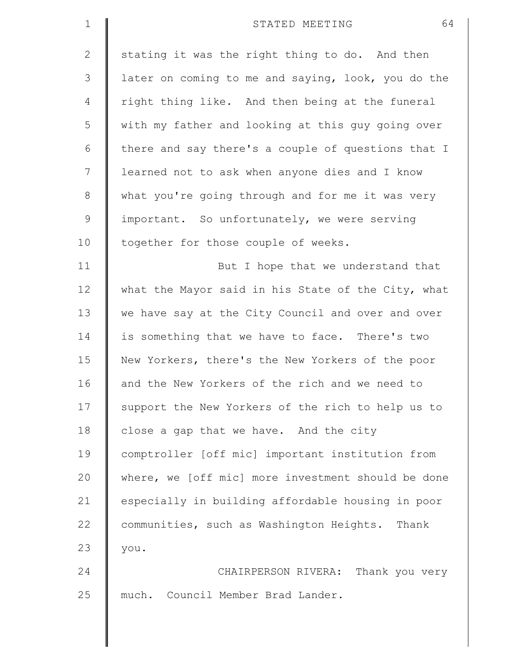| $\mathbf 1$  | 64<br>STATED MEETING                               |
|--------------|----------------------------------------------------|
| $\mathbf{2}$ | stating it was the right thing to do. And then     |
| 3            | later on coming to me and saying, look, you do the |
| 4            | right thing like. And then being at the funeral    |
| 5            | with my father and looking at this guy going over  |
| 6            | there and say there's a couple of questions that I |
| 7            | learned not to ask when anyone dies and I know     |
| $\,8\,$      | what you're going through and for me it was very   |
| $\mathsf 9$  | important. So unfortunately, we were serving       |
| 10           | together for those couple of weeks.                |
| 11           | But I hope that we understand that                 |
| 12           | what the Mayor said in his State of the City, what |
| 13           | we have say at the City Council and over and over  |
| 14           | is something that we have to face. There's two     |
| 15           | New Yorkers, there's the New Yorkers of the poor   |
| 16           | and the New Yorkers of the rich and we need to     |
| 17           | support the New Yorkers of the rich to help us to  |
| 18           | close a gap that we have. And the city             |
| 19           | comptroller [off mic] important institution from   |
| 20           | where, we [off mic] more investment should be done |
| 21           | especially in building affordable housing in poor  |
| 22           | communities, such as Washington Heights. Thank     |
| 23           | you.                                               |
| 24           | CHAIRPERSON RIVERA: Thank you very                 |
| 25           | much. Council Member Brad Lander.                  |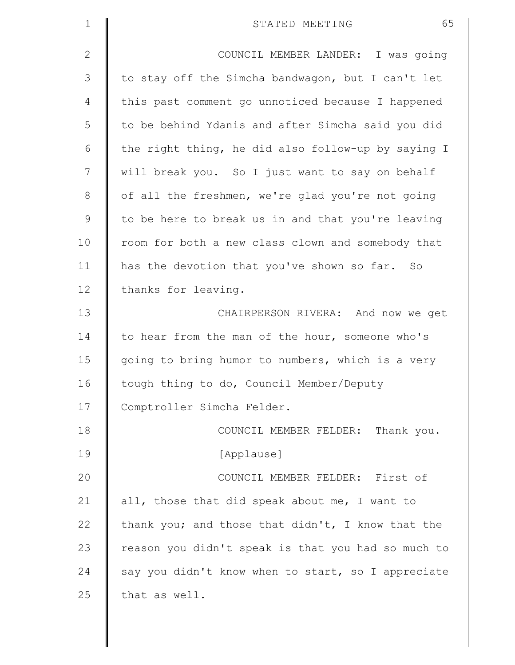| $\mathbf 1$    | 65<br>STATED MEETING                               |
|----------------|----------------------------------------------------|
| $\mathbf{2}$   | COUNCIL MEMBER LANDER: I was going                 |
| 3              | to stay off the Simcha bandwagon, but I can't let  |
| $\overline{4}$ | this past comment go unnoticed because I happened  |
| 5              | to be behind Ydanis and after Simcha said you did  |
| 6              | the right thing, he did also follow-up by saying I |
| 7              | will break you. So I just want to say on behalf    |
| $\,8\,$        | of all the freshmen, we're glad you're not going   |
| $\mathsf 9$    | to be here to break us in and that you're leaving  |
| 10             | room for both a new class clown and somebody that  |
| 11             | has the devotion that you've shown so far. So      |
| 12             | thanks for leaving.                                |
| 13             | CHAIRPERSON RIVERA: And now we get                 |
| 14             | to hear from the man of the hour, someone who's    |
| 15             | going to bring humor to numbers, which is a very   |
| 16             | tough thing to do, Council Member/Deputy           |
| 17             | Comptroller Simcha Felder.                         |
| 18             | COUNCIL MEMBER FELDER: Thank you.                  |
| 19             | [Applause]                                         |
| 20             | COUNCIL MEMBER FELDER: First of                    |
| 21             | all, those that did speak about me, I want to      |
| 22             | thank you; and those that didn't, I know that the  |
| 23             | reason you didn't speak is that you had so much to |
| 24             | say you didn't know when to start, so I appreciate |
| 25             | that as well.                                      |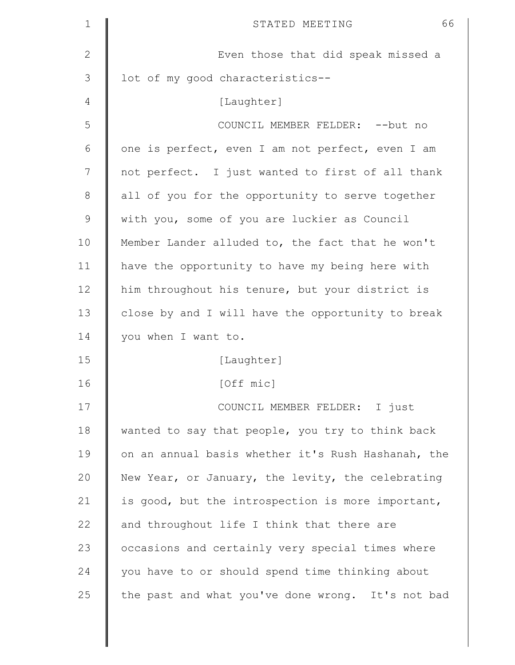| $\mathbf 1$  | 66<br>STATED MEETING                               |
|--------------|----------------------------------------------------|
| $\mathbf{2}$ | Even those that did speak missed a                 |
| 3            | lot of my good characteristics--                   |
| 4            | [Laughter]                                         |
| 5            | COUNCIL MEMBER FELDER: -- but no                   |
| 6            | one is perfect, even I am not perfect, even I am   |
| 7            | not perfect. I just wanted to first of all thank   |
| $8\,$        | all of you for the opportunity to serve together   |
| $\mathsf 9$  | with you, some of you are luckier as Council       |
| 10           | Member Lander alluded to, the fact that he won't   |
| 11           | have the opportunity to have my being here with    |
| 12           | him throughout his tenure, but your district is    |
| 13           | close by and I will have the opportunity to break  |
| 14           | you when I want to.                                |
| 15           | [Laughter]                                         |
| 16           | [Off mic]                                          |
| 17           | COUNCIL MEMBER FELDER: I just                      |
| 18           | wanted to say that people, you try to think back   |
| 19           | on an annual basis whether it's Rush Hashanah, the |
| 20           | New Year, or January, the levity, the celebrating  |
| 21           | is good, but the introspection is more important,  |
| 22           | and throughout life I think that there are         |
| 23           | occasions and certainly very special times where   |
| 24           | you have to or should spend time thinking about    |
| 25           | the past and what you've done wrong. It's not bad  |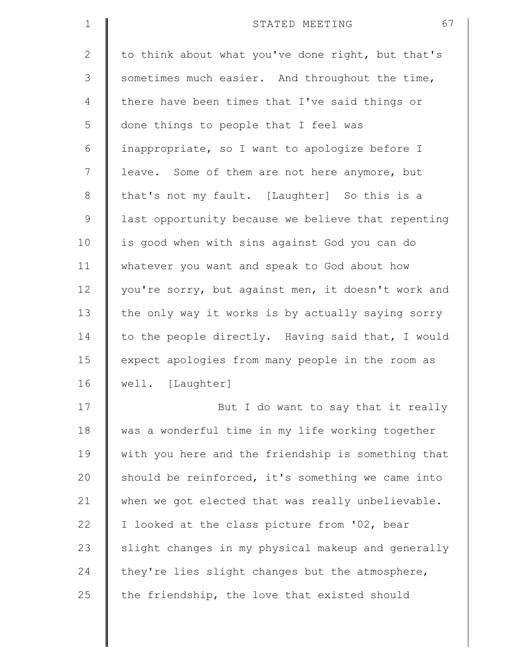| $\mathbf 1$    | 67<br>STATED MEETING                               |
|----------------|----------------------------------------------------|
| $\overline{2}$ | to think about what you've done right, but that's  |
| 3              | sometimes much easier. And throughout the time,    |
| 4              | there have been times that I've said things or     |
| 5              | done things to people that I feel was              |
| 6              | inappropriate, so I want to apologize before I     |
| 7              | leave. Some of them are not here anymore, but      |
| $\,8\,$        | that's not my fault. [Laughter] So this is a       |
| $\mathsf 9$    | last opportunity because we believe that repenting |
| 10             | is good when with sins against God you can do      |
| 11             | whatever you want and speak to God about how       |
| 12             | you're sorry, but against men, it doesn't work and |
| 13             | the only way it works is by actually saying sorry  |
| 14             | to the people directly. Having said that, I would  |
| 15             | expect apologies from many people in the room as   |
| 16             | well. [Laughter]                                   |
| 17             | But I do want to say that it really                |
| 18             | was a wonderful time in my life working together   |
| 19             | with you here and the friendship is something that |
| 20             | should be reinforced, it's something we came into  |
| 21             | when we got elected that was really unbelievable.  |
| 22             | I looked at the class picture from '02, bear       |
| 23             | slight changes in my physical makeup and generally |
| 24             | they're lies slight changes but the atmosphere,    |
| 25             | the friendship, the love that existed should       |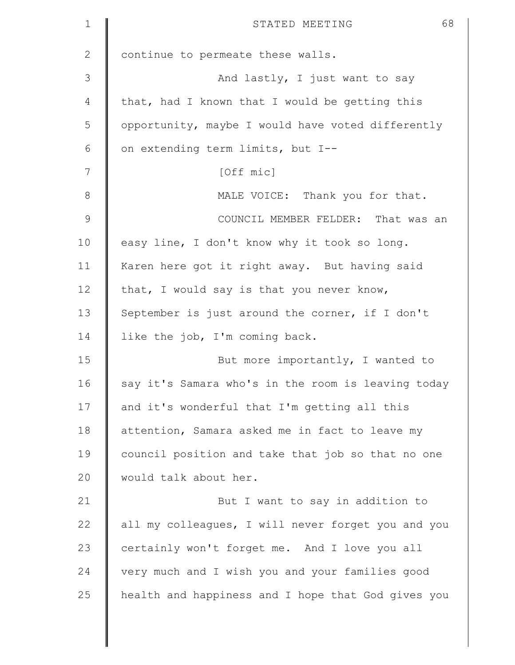| $\mathbf 1$    | 68<br>STATED MEETING                               |
|----------------|----------------------------------------------------|
| $\mathbf{2}$   | continue to permeate these walls.                  |
| $\mathfrak{Z}$ | And lastly, I just want to say                     |
| 4              | that, had I known that I would be getting this     |
| 5              | opportunity, maybe I would have voted differently  |
| 6              | on extending term limits, but I--                  |
| 7              | [Off mic]                                          |
| $8\,$          | MALE VOICE: Thank you for that.                    |
| $\mathsf 9$    | COUNCIL MEMBER FELDER: That was an                 |
| 10             | easy line, I don't know why it took so long.       |
| 11             | Karen here got it right away. But having said      |
| 12             | that, I would say is that you never know,          |
| 13             | September is just around the corner, if I don't    |
| 14             | like the job, I'm coming back.                     |
| 15             | But more importantly, I wanted to                  |
| 16             | say it's Samara who's in the room is leaving today |
| 17             | and it's wonderful that I'm getting all this       |
| 18             | attention, Samara asked me in fact to leave my     |
| 19             | council position and take that job so that no one  |
| 20             | would talk about her.                              |
| 21             | But I want to say in addition to                   |
| 22             | all my colleagues, I will never forget you and you |
| 23             | certainly won't forget me. And I love you all      |
| 24             | very much and I wish you and your families good    |
| 25             | health and happiness and I hope that God gives you |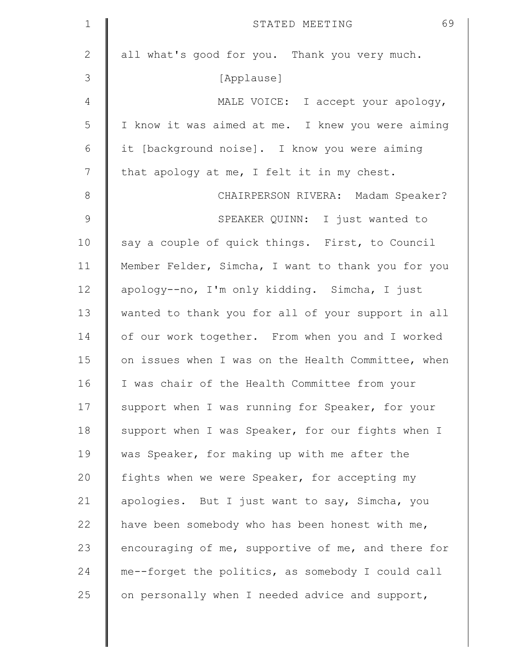| $\mathbf 1$   | 69<br>STATED MEETING                               |
|---------------|----------------------------------------------------|
| $\mathbf{2}$  | all what's good for you. Thank you very much.      |
| 3             | [Applause]                                         |
| 4             | MALE VOICE: I accept your apology,                 |
| 5             | I know it was aimed at me. I knew you were aiming  |
| 6             | it [background noise]. I know you were aiming      |
| 7             | that apology at me, I felt it in my chest.         |
| 8             | CHAIRPERSON RIVERA: Madam Speaker?                 |
| $\mathcal{G}$ | SPEAKER QUINN: I just wanted to                    |
| 10            | say a couple of quick things. First, to Council    |
| 11            | Member Felder, Simcha, I want to thank you for you |
| 12            | apology--no, I'm only kidding. Simcha, I just      |
| 13            | wanted to thank you for all of your support in all |
| 14            | of our work together. From when you and I worked   |
| 15            | on issues when I was on the Health Committee, when |
| 16            | I was chair of the Health Committee from your      |
| 17            | support when I was running for Speaker, for your   |
| 18            | support when I was Speaker, for our fights when I  |
| 19            | was Speaker, for making up with me after the       |
| 20            | fights when we were Speaker, for accepting my      |
| 21            | apologies. But I just want to say, Simcha, you     |
| 22            | have been somebody who has been honest with me,    |
| 23            | encouraging of me, supportive of me, and there for |
| 24            | me--forget the politics, as somebody I could call  |
| 25            | on personally when I needed advice and support,    |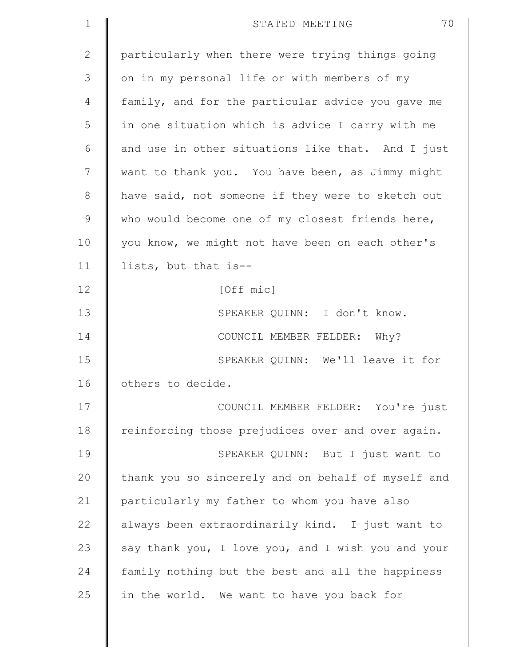| $\mathbf 1$  | 70<br>STATED MEETING                               |
|--------------|----------------------------------------------------|
| $\mathbf{2}$ | particularly when there were trying things going   |
| 3            | on in my personal life or with members of my       |
| 4            | family, and for the particular advice you gave me  |
| 5            | in one situation which is advice I carry with me   |
| 6            | and use in other situations like that. And I just  |
| 7            | want to thank you. You have been, as Jimmy might   |
| 8            | have said, not someone if they were to sketch out  |
| $\mathsf 9$  | who would become one of my closest friends here,   |
| 10           | you know, we might not have been on each other's   |
| 11           | lists, but that is--                               |
| 12           | [Off mic]                                          |
| 13           | SPEAKER QUINN: I don't know.                       |
| 14           | COUNCIL MEMBER FELDER: Why?                        |
| 15           | SPEAKER QUINN: We'll leave it for                  |
| 16           | others to decide.                                  |
| 17           | COUNCIL MEMBER FELDER: You're just                 |
| 18           | reinforcing those prejudices over and over again.  |
| 19           | SPEAKER QUINN: But I just want to                  |
| 20           | thank you so sincerely and on behalf of myself and |
| 21           | particularly my father to whom you have also       |
| 22           | always been extraordinarily kind. I just want to   |
| 23           | say thank you, I love you, and I wish you and your |
| 24           | family nothing but the best and all the happiness  |
| 25           | in the world. We want to have you back for         |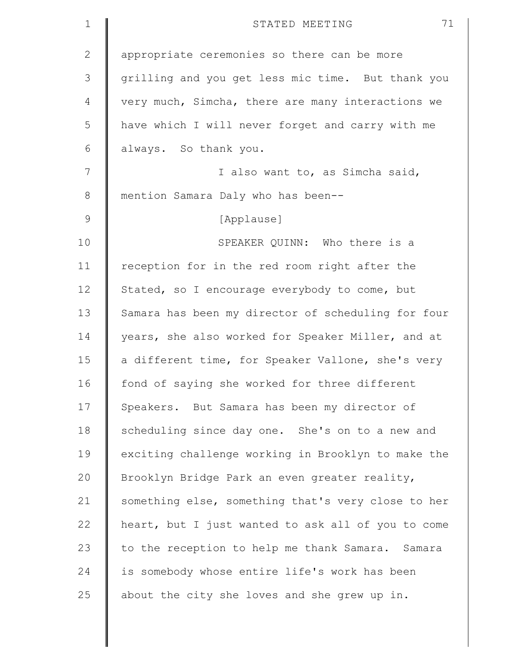| $\mathbf 1$  | 71<br>STATED MEETING                               |
|--------------|----------------------------------------------------|
| $\mathbf{2}$ | appropriate ceremonies so there can be more        |
| 3            | grilling and you get less mic time. But thank you  |
| 4            | very much, Simcha, there are many interactions we  |
| 5            | have which I will never forget and carry with me   |
| 6            | always. So thank you.                              |
| 7            | I also want to, as Simcha said,                    |
| 8            | mention Samara Daly who has been--                 |
| $\mathsf 9$  | [Applause]                                         |
| 10           | SPEAKER QUINN: Who there is a                      |
| 11           | reception for in the red room right after the      |
| 12           | Stated, so I encourage everybody to come, but      |
| 13           | Samara has been my director of scheduling for four |
| 14           | years, she also worked for Speaker Miller, and at  |
| 15           | a different time, for Speaker Vallone, she's very  |
| 16           | fond of saying she worked for three different      |
| 17           | Speakers. But Samara has been my director of       |
| 18           | scheduling since day one. She's on to a new and    |
| 19           | exciting challenge working in Brooklyn to make the |
| 20           | Brooklyn Bridge Park an even greater reality,      |
| 21           | something else, something that's very close to her |
| 22           | heart, but I just wanted to ask all of you to come |
| 23           | to the reception to help me thank Samara. Samara   |
| 24           | is somebody whose entire life's work has been      |
| 25           | about the city she loves and she grew up in.       |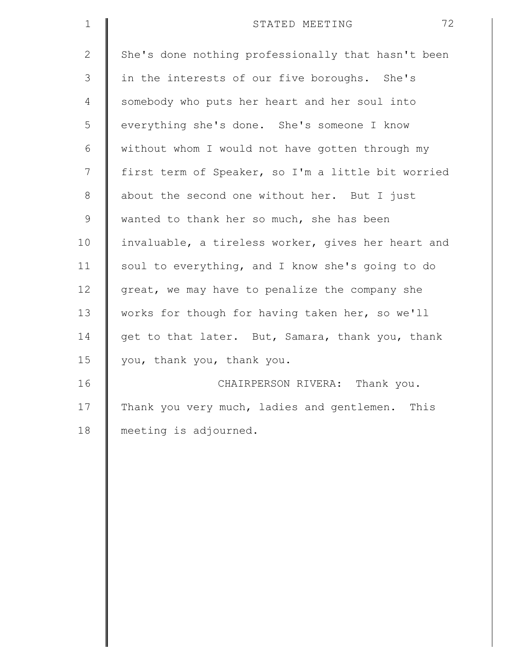| $\mathbf 1$    | 72<br>STATED MEETING                               |
|----------------|----------------------------------------------------|
| $\overline{2}$ | She's done nothing professionally that hasn't been |
| 3              | in the interests of our five boroughs. She's       |
| 4              | somebody who puts her heart and her soul into      |
| 5              | everything she's done. She's someone I know        |
| 6              | without whom I would not have gotten through my    |
| 7              | first term of Speaker, so I'm a little bit worried |
| $\,8\,$        | about the second one without her. But I just       |
| $\mathsf 9$    | wanted to thank her so much, she has been          |
| 10             | invaluable, a tireless worker, gives her heart and |
| 11             | soul to everything, and I know she's going to do   |
| 12             | great, we may have to penalize the company she     |
| 13             | works for though for having taken her, so we'll    |
| 14             | get to that later. But, Samara, thank you, thank   |
| 15             | you, thank you, thank you.                         |
| 16             | CHAIRPERSON RIVERA: Thank you.                     |
| 17             | Thank you very much, ladies and gentlemen.<br>This |
| 18             | meeting is adjourned.                              |
|                |                                                    |
|                |                                                    |
|                |                                                    |
|                |                                                    |
|                |                                                    |
|                |                                                    |
|                |                                                    |
|                |                                                    |
|                |                                                    |